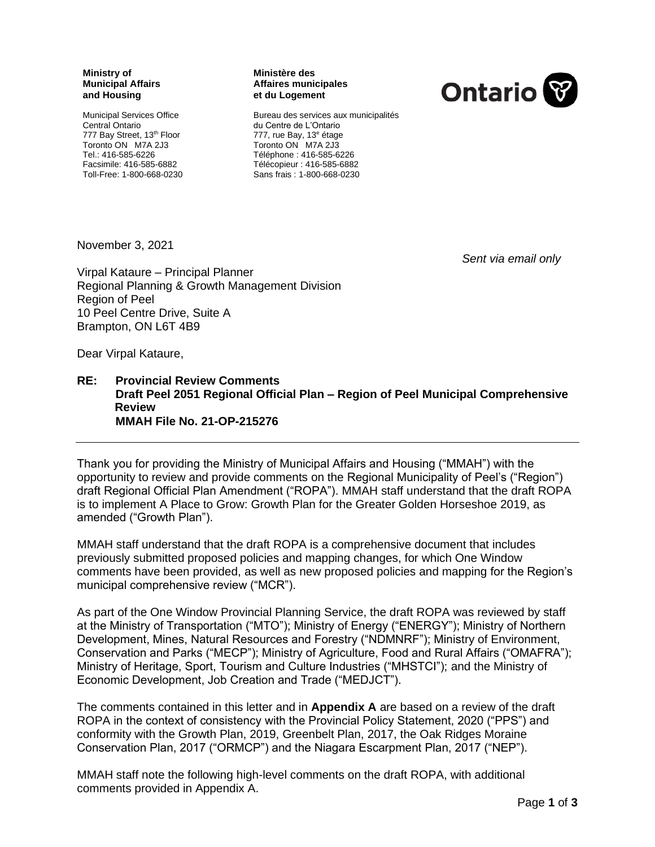#### **Ministry of Municipal Affairs and Housing**

Municipal Services Office Central Ontario 777 Bay Street, 13<sup>th</sup> Floor Toronto ON M7A 2J3 Tel.: 416-585-6226 Facsimile: 416-585-6882 Toll-Free: 1-800-668-0230

#### **Ministère des Affaires municipales et du Logement**



Bureau des services aux municipalités du Centre de L'Ontario 777, rue Bay, 13<sup>e</sup> étage Toronto ON M7A 2J3 Téléphone : 416-585-6226 Télécopieur : 416-585-6882 Sans frais : 1-800-668-0230

November 3, 2021

*Sent via email only*

Virpal Kataure – Principal Planner Regional Planning & Growth Management Division Region of Peel 10 Peel Centre Drive, Suite A Brampton, ON L6T 4B9

Dear Virpal Kataure,

#### **RE: Provincial Review Comments Draft Peel 2051 Regional Official Plan – Region of Peel Municipal Comprehensive Review MMAH File No. 21-OP-215276**

Thank you for providing the Ministry of Municipal Affairs and Housing ("MMAH") with the opportunity to review and provide comments on the Regional Municipality of Peel's ("Region") draft Regional Official Plan Amendment ("ROPA"). MMAH staff understand that the draft ROPA is to implement A Place to Grow: Growth Plan for the Greater Golden Horseshoe 2019, as amended ("Growth Plan").

MMAH staff understand that the draft ROPA is a comprehensive document that includes previously submitted proposed policies and mapping changes, for which One Window comments have been provided, as well as new proposed policies and mapping for the Region's municipal comprehensive review ("MCR").

As part of the One Window Provincial Planning Service, the draft ROPA was reviewed by staff at the Ministry of Transportation ("MTO"); Ministry of Energy ("ENERGY"); Ministry of Northern Development, Mines, Natural Resources and Forestry ("NDMNRF"); Ministry of Environment, Conservation and Parks ("MECP"); Ministry of Agriculture, Food and Rural Affairs ("OMAFRA"); Ministry of Heritage, Sport, Tourism and Culture Industries ("MHSTCI"); and the Ministry of Economic Development, Job Creation and Trade ("MEDJCT").

The comments contained in this letter and in **Appendix A** are based on a review of the draft ROPA in the context of consistency with the Provincial Policy Statement, 2020 ("PPS") and conformity with the Growth Plan, 2019, Greenbelt Plan, 2017, the Oak Ridges Moraine Conservation Plan, 2017 ("ORMCP") and the Niagara Escarpment Plan, 2017 ("NEP").

MMAH staff note the following high-level comments on the draft ROPA, with additional comments provided in Appendix A.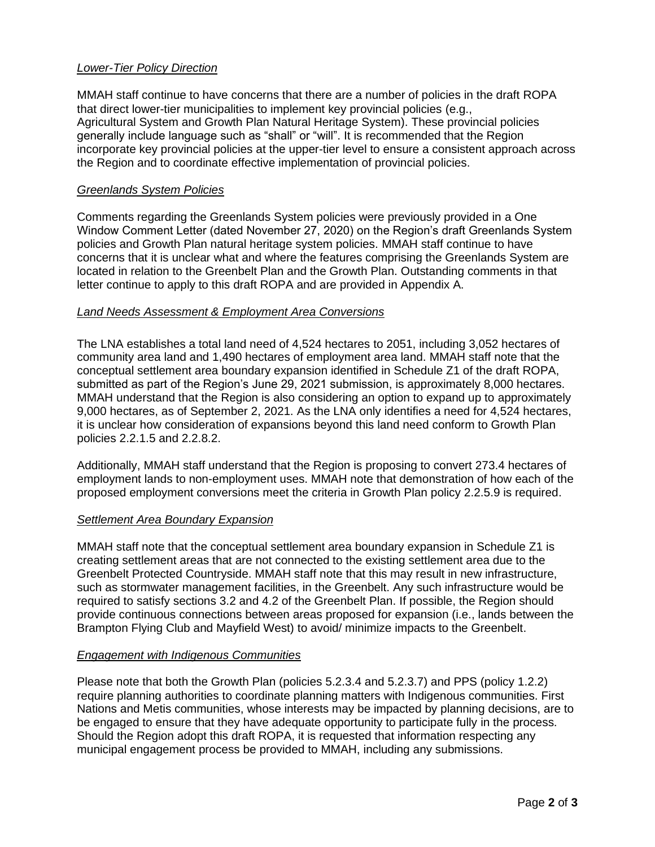## *Lower-Tier Policy Direction*

MMAH staff continue to have concerns that there are a number of policies in the draft ROPA that direct lower-tier municipalities to implement key provincial policies (e.g., Agricultural System and Growth Plan Natural Heritage System). These provincial policies generally include language such as "shall" or "will". It is recommended that the Region incorporate key provincial policies at the upper-tier level to ensure a consistent approach across the Region and to coordinate effective implementation of provincial policies.

### *Greenlands System Policies*

Comments regarding the Greenlands System policies were previously provided in a One Window Comment Letter (dated November 27, 2020) on the Region's draft Greenlands System policies and Growth Plan natural heritage system policies. MMAH staff continue to have concerns that it is unclear what and where the features comprising the Greenlands System are located in relation to the Greenbelt Plan and the Growth Plan. Outstanding comments in that letter continue to apply to this draft ROPA and are provided in Appendix A.

## *Land Needs Assessment & Employment Area Conversions*

The LNA establishes a total land need of 4,524 hectares to 2051, including 3,052 hectares of community area land and 1,490 hectares of employment area land. MMAH staff note that the conceptual settlement area boundary expansion identified in Schedule Z1 of the draft ROPA, submitted as part of the Region's June 29, 2021 submission, is approximately 8,000 hectares. MMAH understand that the Region is also considering an option to expand up to approximately 9,000 hectares, as of September 2, 2021. As the LNA only identifies a need for 4,524 hectares, it is unclear how consideration of expansions beyond this land need conform to Growth Plan policies 2.2.1.5 and 2.2.8.2.

Additionally, MMAH staff understand that the Region is proposing to convert 273.4 hectares of employment lands to non-employment uses. MMAH note that demonstration of how each of the proposed employment conversions meet the criteria in Growth Plan policy 2.2.5.9 is required.

# *Settlement Area Boundary Expansion*

MMAH staff note that the conceptual settlement area boundary expansion in Schedule Z1 is creating settlement areas that are not connected to the existing settlement area due to the Greenbelt Protected Countryside. MMAH staff note that this may result in new infrastructure, such as stormwater management facilities, in the Greenbelt. Any such infrastructure would be required to satisfy sections 3.2 and 4.2 of the Greenbelt Plan. If possible, the Region should provide continuous connections between areas proposed for expansion (i.e., lands between the Brampton Flying Club and Mayfield West) to avoid/ minimize impacts to the Greenbelt.

# *Engagement with Indigenous Communities*

Please note that both the Growth Plan (policies 5.2.3.4 and 5.2.3.7) and PPS (policy 1.2.2) require planning authorities to coordinate planning matters with Indigenous communities. First Nations and Metis communities, whose interests may be impacted by planning decisions, are to be engaged to ensure that they have adequate opportunity to participate fully in the process. Should the Region adopt this draft ROPA, it is requested that information respecting any municipal engagement process be provided to MMAH, including any submissions.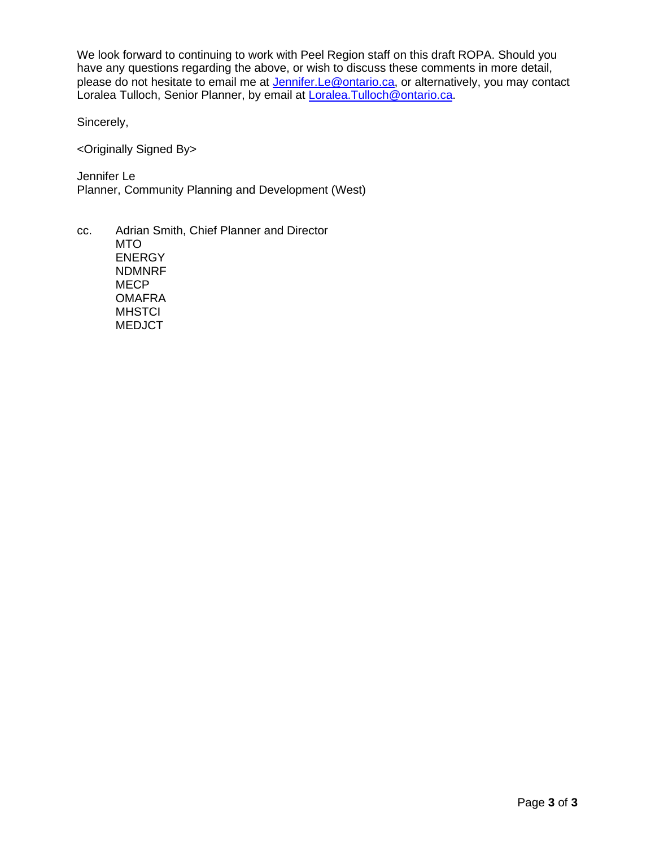We look forward to continuing to work with Peel Region staff on this draft ROPA. Should you have any questions regarding the above, or wish to discuss these comments in more detail, please do not hesitate to email me at **Jennifer.Le@ontario.ca**, or alternatively, you may contact Loralea Tulloch, Senior Planner, by email at [Loralea.Tulloch@ontario.ca.](mailto:Loralea.Tulloch@ontario.ca)

Sincerely,

<Originally Signed By>

Jennifer Le Planner, Community Planning and Development (West)

cc. Adrian Smith, Chief Planner and Director MTO ENERGY NDMNRF **MECP OMAFRA MHSTCI** MEDJCT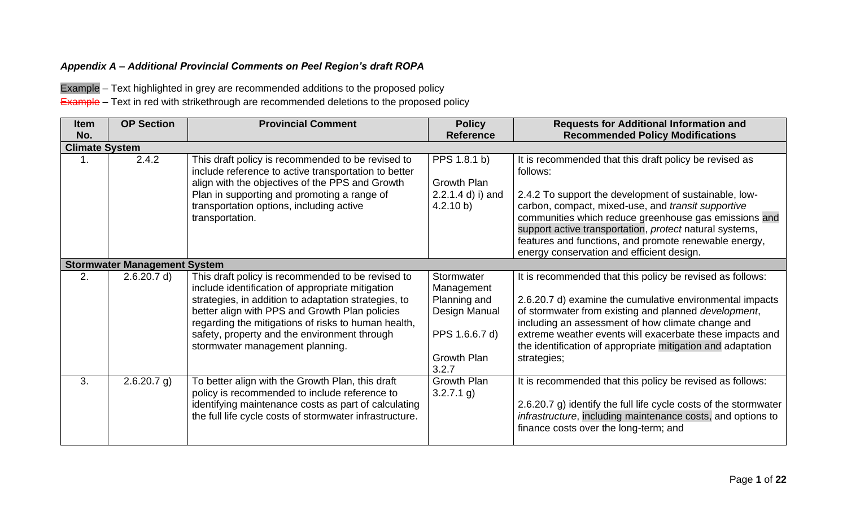# *Appendix A – Additional Provincial Comments on Peel Region's draft ROPA*

Example – Text highlighted in grey are recommended additions to the proposed policy

**Example** – Text in red with strikethrough are recommended deletions to the proposed policy

| <b>Item</b><br>No. | <b>OP Section</b>                   | <b>Provincial Comment</b>                                                                                                                                                                                                                                                                                                                                 | <b>Policy</b><br><b>Reference</b>                                                                          | <b>Requests for Additional Information and</b><br><b>Recommended Policy Modifications</b>                                                                                                                                                                                                                                                                                                                   |  |  |  |
|--------------------|-------------------------------------|-----------------------------------------------------------------------------------------------------------------------------------------------------------------------------------------------------------------------------------------------------------------------------------------------------------------------------------------------------------|------------------------------------------------------------------------------------------------------------|-------------------------------------------------------------------------------------------------------------------------------------------------------------------------------------------------------------------------------------------------------------------------------------------------------------------------------------------------------------------------------------------------------------|--|--|--|
|                    | <b>Climate System</b>               |                                                                                                                                                                                                                                                                                                                                                           |                                                                                                            |                                                                                                                                                                                                                                                                                                                                                                                                             |  |  |  |
| 1.                 | 2.4.2                               | This draft policy is recommended to be revised to<br>include reference to active transportation to better<br>align with the objectives of the PPS and Growth<br>Plan in supporting and promoting a range of<br>transportation options, including active<br>transportation.                                                                                | PPS 1.8.1 b)<br>Growth Plan<br>$2.2.1.4$ d) i) and<br>4.2.10 b)                                            | It is recommended that this draft policy be revised as<br>follows:<br>2.4.2 To support the development of sustainable, low-<br>carbon, compact, mixed-use, and transit supportive<br>communities which reduce greenhouse gas emissions and<br>support active transportation, protect natural systems,<br>features and functions, and promote renewable energy,<br>energy conservation and efficient design. |  |  |  |
|                    | <b>Stormwater Management System</b> |                                                                                                                                                                                                                                                                                                                                                           |                                                                                                            |                                                                                                                                                                                                                                                                                                                                                                                                             |  |  |  |
| 2.                 | 2.6.20.7 d)                         | This draft policy is recommended to be revised to<br>include identification of appropriate mitigation<br>strategies, in addition to adaptation strategies, to<br>better align with PPS and Growth Plan policies<br>regarding the mitigations of risks to human health,<br>safety, property and the environment through<br>stormwater management planning. | Stormwater<br>Management<br>Planning and<br>Design Manual<br>PPS 1.6.6.7 d)<br><b>Growth Plan</b><br>3.2.7 | It is recommended that this policy be revised as follows:<br>2.6.20.7 d) examine the cumulative environmental impacts<br>of stormwater from existing and planned development,<br>including an assessment of how climate change and<br>extreme weather events will exacerbate these impacts and<br>the identification of appropriate mitigation and adaptation<br>strategies;                                |  |  |  |
| 3.                 | $2.6.20.7$ g)                       | To better align with the Growth Plan, this draft<br>policy is recommended to include reference to<br>identifying maintenance costs as part of calculating<br>the full life cycle costs of stormwater infrastructure.                                                                                                                                      | Growth Plan<br>$3.2.7.1$ g)                                                                                | It is recommended that this policy be revised as follows:<br>2.6.20.7 g) identify the full life cycle costs of the stormwater<br>infrastructure, including maintenance costs, and options to<br>finance costs over the long-term; and                                                                                                                                                                       |  |  |  |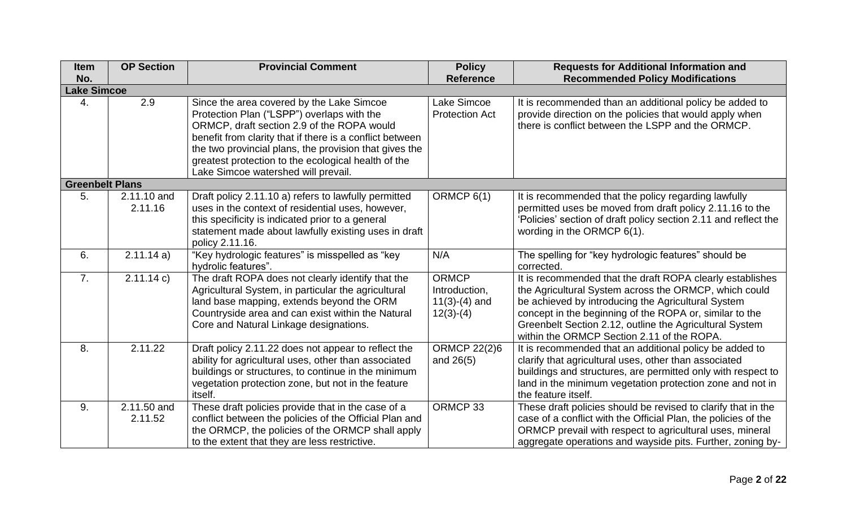| <b>Item</b>            | <b>OP Section</b> | <b>Provincial Comment</b>                                | <b>Policy</b>         | <b>Requests for Additional Information and</b>                  |
|------------------------|-------------------|----------------------------------------------------------|-----------------------|-----------------------------------------------------------------|
| No.                    |                   |                                                          | <b>Reference</b>      | <b>Recommended Policy Modifications</b>                         |
| <b>Lake Simcoe</b>     |                   |                                                          |                       |                                                                 |
| 4.                     | 2.9               | Since the area covered by the Lake Simcoe                | Lake Simcoe           | It is recommended than an additional policy be added to         |
|                        |                   | Protection Plan ("LSPP") overlaps with the               | <b>Protection Act</b> | provide direction on the policies that would apply when         |
|                        |                   | ORMCP, draft section 2.9 of the ROPA would               |                       | there is conflict between the LSPP and the ORMCP.               |
|                        |                   | benefit from clarity that if there is a conflict between |                       |                                                                 |
|                        |                   | the two provincial plans, the provision that gives the   |                       |                                                                 |
|                        |                   | greatest protection to the ecological health of the      |                       |                                                                 |
|                        |                   | Lake Simcoe watershed will prevail.                      |                       |                                                                 |
| <b>Greenbelt Plans</b> |                   |                                                          |                       |                                                                 |
| 5.                     | 2.11.10 and       | Draft policy 2.11.10 a) refers to lawfully permitted     | ORMCP 6(1)            | It is recommended that the policy regarding lawfully            |
|                        | 2.11.16           | uses in the context of residential uses, however,        |                       | permitted uses be moved from draft policy 2.11.16 to the        |
|                        |                   | this specificity is indicated prior to a general         |                       | 'Policies' section of draft policy section 2.11 and reflect the |
|                        |                   | statement made about lawfully existing uses in draft     |                       | wording in the ORMCP 6(1).                                      |
|                        |                   | policy 2.11.16.                                          |                       |                                                                 |
| 6.                     | 2.11.14a)         | "Key hydrologic features" is misspelled as "key          | N/A                   | The spelling for "key hydrologic features" should be            |
|                        |                   | hydrolic features".                                      |                       | corrected.                                                      |
| 7.                     | 2.11.14 c)        | The draft ROPA does not clearly identify that the        | <b>ORMCP</b>          | It is recommended that the draft ROPA clearly establishes       |
|                        |                   | Agricultural System, in particular the agricultural      | Introduction,         | the Agricultural System across the ORMCP, which could           |
|                        |                   | land base mapping, extends beyond the ORM                | $11(3)-(4)$ and       | be achieved by introducing the Agricultural System              |
|                        |                   | Countryside area and can exist within the Natural        | $12(3)-(4)$           | concept in the beginning of the ROPA or, similar to the         |
|                        |                   | Core and Natural Linkage designations.                   |                       | Greenbelt Section 2.12, outline the Agricultural System         |
|                        |                   |                                                          |                       | within the ORMCP Section 2.11 of the ROPA.                      |
| 8.                     | 2.11.22           | Draft policy 2.11.22 does not appear to reflect the      | <b>ORMCP 22(2)6</b>   | It is recommended that an additional policy be added to         |
|                        |                   | ability for agricultural uses, other than associated     | and 26(5)             | clarify that agricultural uses, other than associated           |
|                        |                   | buildings or structures, to continue in the minimum      |                       | buildings and structures, are permitted only with respect to    |
|                        |                   | vegetation protection zone, but not in the feature       |                       | land in the minimum vegetation protection zone and not in       |
|                        |                   | itself.                                                  |                       | the feature itself.                                             |
| 9.                     | 2.11.50 and       | These draft policies provide that in the case of a       | ORMCP 33              | These draft policies should be revised to clarify that in the   |
|                        | 2.11.52           | conflict between the policies of the Official Plan and   |                       | case of a conflict with the Official Plan, the policies of the  |
|                        |                   | the ORMCP, the policies of the ORMCP shall apply         |                       | ORMCP prevail with respect to agricultural uses, mineral        |
|                        |                   | to the extent that they are less restrictive.            |                       | aggregate operations and wayside pits. Further, zoning by-      |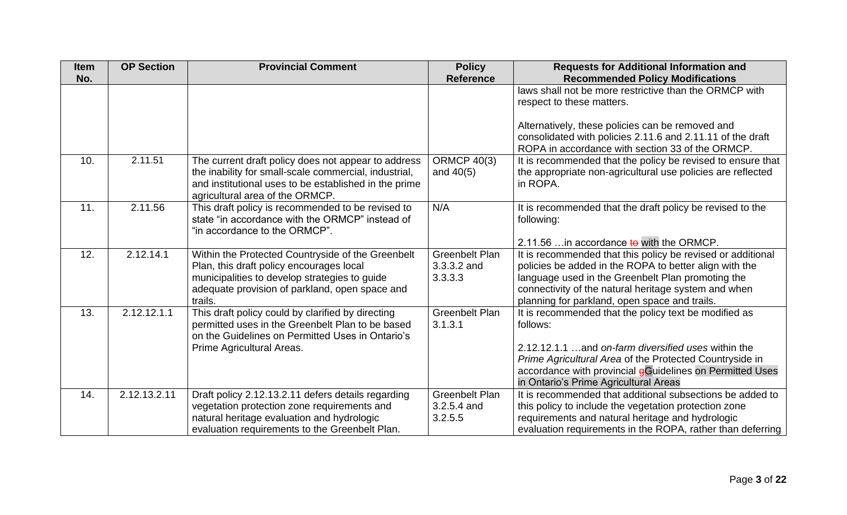| <b>Item</b> | <b>OP Section</b> | <b>Provincial Comment</b>                                                                                                                                                                                   | <b>Policy</b>                                   | <b>Requests for Additional Information and</b>                                                                                                                                                                                                                                           |
|-------------|-------------------|-------------------------------------------------------------------------------------------------------------------------------------------------------------------------------------------------------------|-------------------------------------------------|------------------------------------------------------------------------------------------------------------------------------------------------------------------------------------------------------------------------------------------------------------------------------------------|
| No.         |                   |                                                                                                                                                                                                             | <b>Reference</b>                                | <b>Recommended Policy Modifications</b>                                                                                                                                                                                                                                                  |
|             |                   |                                                                                                                                                                                                             |                                                 | laws shall not be more restrictive than the ORMCP with<br>respect to these matters.                                                                                                                                                                                                      |
|             |                   |                                                                                                                                                                                                             |                                                 | Alternatively, these policies can be removed and<br>consolidated with policies 2.11.6 and 2.11.11 of the draft<br>ROPA in accordance with section 33 of the ORMCP.                                                                                                                       |
| 10.         | 2.11.51           | The current draft policy does not appear to address<br>the inability for small-scale commercial, industrial,<br>and institutional uses to be established in the prime<br>agricultural area of the ORMCP.    | <b>ORMCP 40(3)</b><br>and $40(5)$               | It is recommended that the policy be revised to ensure that<br>the appropriate non-agricultural use policies are reflected<br>in ROPA.                                                                                                                                                   |
| 11.         | 2.11.56           | This draft policy is recommended to be revised to<br>state "in accordance with the ORMCP" instead of<br>"in accordance to the ORMCP".                                                                       | N/A                                             | It is recommended that the draft policy be revised to the<br>following:<br>2.11.56  in accordance to with the ORMCP.                                                                                                                                                                     |
| 12.         | 2.12.14.1         | Within the Protected Countryside of the Greenbelt<br>Plan, this draft policy encourages local<br>municipalities to develop strategies to guide<br>adequate provision of parkland, open space and<br>trails. | <b>Greenbelt Plan</b><br>3.3.3.2 and<br>3.3.3.3 | It is recommended that this policy be revised or additional<br>policies be added in the ROPA to better align with the<br>language used in the Greenbelt Plan promoting the<br>connectivity of the natural heritage system and when<br>planning for parkland, open space and trails.      |
| 13.         | 2.12.12.1.1       | This draft policy could by clarified by directing<br>permitted uses in the Greenbelt Plan to be based<br>on the Guidelines on Permitted Uses in Ontario's<br>Prime Agricultural Areas.                      | <b>Greenbelt Plan</b><br>3.1.3.1                | It is recommended that the policy text be modified as<br>follows:<br>2.12.12.1.1 and on-farm diversified uses within the<br>Prime Agricultural Area of the Protected Countryside in<br>accordance with provincial gGuidelines on Permitted Uses<br>in Ontario's Prime Agricultural Areas |
| 14.         | 2.12.13.2.11      | Draft policy 2.12.13.2.11 defers details regarding<br>vegetation protection zone requirements and<br>natural heritage evaluation and hydrologic<br>evaluation requirements to the Greenbelt Plan.           | <b>Greenbelt Plan</b><br>3.2.5.4 and<br>3.2.5.5 | It is recommended that additional subsections be added to<br>this policy to include the vegetation protection zone<br>requirements and natural heritage and hydrologic<br>evaluation requirements in the ROPA, rather than deferring                                                     |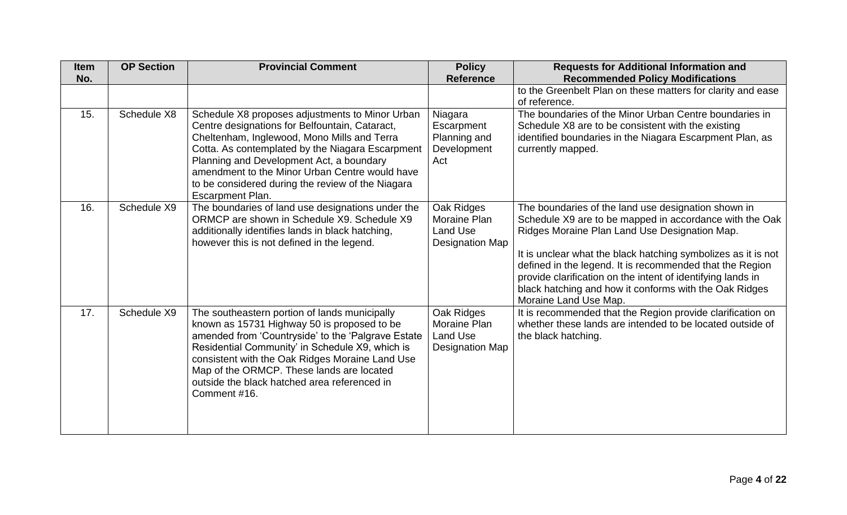<span id="page-6-0"></span>

| <b>Item</b> | <b>OP Section</b> | <b>Provincial Comment</b>                                                                                                                                                                                                                                                                                                                                                          | <b>Policy</b>                                                           | <b>Requests for Additional Information and</b>                                                                                                                                                                                                                                                                                                                                                                                                 |
|-------------|-------------------|------------------------------------------------------------------------------------------------------------------------------------------------------------------------------------------------------------------------------------------------------------------------------------------------------------------------------------------------------------------------------------|-------------------------------------------------------------------------|------------------------------------------------------------------------------------------------------------------------------------------------------------------------------------------------------------------------------------------------------------------------------------------------------------------------------------------------------------------------------------------------------------------------------------------------|
| No.         |                   |                                                                                                                                                                                                                                                                                                                                                                                    | <b>Reference</b>                                                        | <b>Recommended Policy Modifications</b>                                                                                                                                                                                                                                                                                                                                                                                                        |
|             |                   |                                                                                                                                                                                                                                                                                                                                                                                    |                                                                         | to the Greenbelt Plan on these matters for clarity and ease<br>of reference.                                                                                                                                                                                                                                                                                                                                                                   |
| 15.         | Schedule X8       | Schedule X8 proposes adjustments to Minor Urban<br>Centre designations for Belfountain, Cataract,<br>Cheltenham, Inglewood, Mono Mills and Terra<br>Cotta. As contemplated by the Niagara Escarpment<br>Planning and Development Act, a boundary<br>amendment to the Minor Urban Centre would have<br>to be considered during the review of the Niagara<br><b>Escarpment Plan.</b> | Niagara<br>Escarpment<br>Planning and<br>Development<br>Act             | The boundaries of the Minor Urban Centre boundaries in<br>Schedule X8 are to be consistent with the existing<br>identified boundaries in the Niagara Escarpment Plan, as<br>currently mapped.                                                                                                                                                                                                                                                  |
| 16.         | Schedule X9       | The boundaries of land use designations under the<br>ORMCP are shown in Schedule X9. Schedule X9<br>additionally identifies lands in black hatching,<br>however this is not defined in the legend.                                                                                                                                                                                 | Oak Ridges<br>Moraine Plan<br><b>Land Use</b><br><b>Designation Map</b> | The boundaries of the land use designation shown in<br>Schedule X9 are to be mapped in accordance with the Oak<br>Ridges Moraine Plan Land Use Designation Map.<br>It is unclear what the black hatching symbolizes as it is not<br>defined in the legend. It is recommended that the Region<br>provide clarification on the intent of identifying lands in<br>black hatching and how it conforms with the Oak Ridges<br>Moraine Land Use Map. |
| 17.         | Schedule X9       | The southeastern portion of lands municipally<br>known as 15731 Highway 50 is proposed to be<br>amended from 'Countryside' to the 'Palgrave Estate<br>Residential Community' in Schedule X9, which is<br>consistent with the Oak Ridges Moraine Land Use<br>Map of the ORMCP. These lands are located<br>outside the black hatched area referenced in<br>Comment #16.              | Oak Ridges<br>Moraine Plan<br><b>Land Use</b><br><b>Designation Map</b> | It is recommended that the Region provide clarification on<br>whether these lands are intended to be located outside of<br>the black hatching.                                                                                                                                                                                                                                                                                                 |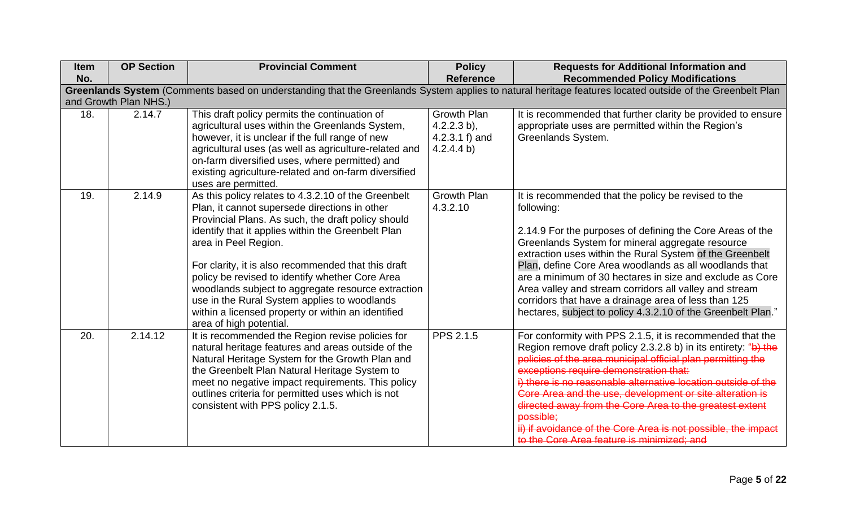| <b>Item</b> | <b>OP Section</b>     | <b>Provincial Comment</b>                                                                                                                                                                                                                                                                                                                                                                                                                                                                                                                 | <b>Policy</b>                                                          | <b>Requests for Additional Information and</b>                                                                                                                                                                                                                                                                                                                                                                                                                                                                                                                  |  |  |
|-------------|-----------------------|-------------------------------------------------------------------------------------------------------------------------------------------------------------------------------------------------------------------------------------------------------------------------------------------------------------------------------------------------------------------------------------------------------------------------------------------------------------------------------------------------------------------------------------------|------------------------------------------------------------------------|-----------------------------------------------------------------------------------------------------------------------------------------------------------------------------------------------------------------------------------------------------------------------------------------------------------------------------------------------------------------------------------------------------------------------------------------------------------------------------------------------------------------------------------------------------------------|--|--|
| No.         |                       |                                                                                                                                                                                                                                                                                                                                                                                                                                                                                                                                           | <b>Reference</b>                                                       | <b>Recommended Policy Modifications</b>                                                                                                                                                                                                                                                                                                                                                                                                                                                                                                                         |  |  |
|             |                       |                                                                                                                                                                                                                                                                                                                                                                                                                                                                                                                                           |                                                                        | Greenlands System (Comments based on understanding that the Greenlands System applies to natural heritage features located outside of the Greenbelt Plan                                                                                                                                                                                                                                                                                                                                                                                                        |  |  |
|             | and Growth Plan NHS.) |                                                                                                                                                                                                                                                                                                                                                                                                                                                                                                                                           |                                                                        |                                                                                                                                                                                                                                                                                                                                                                                                                                                                                                                                                                 |  |  |
| 18.         | 2.14.7                | This draft policy permits the continuation of<br>agricultural uses within the Greenlands System,<br>however, it is unclear if the full range of new<br>agricultural uses (as well as agriculture-related and<br>on-farm diversified uses, where permitted) and<br>existing agriculture-related and on-farm diversified<br>uses are permitted.                                                                                                                                                                                             | <b>Growth Plan</b><br>$4.2.2.3 b$ ,<br>4.2.3.1 $f$ ) and<br>4.2.4.4 b) | It is recommended that further clarity be provided to ensure<br>appropriate uses are permitted within the Region's<br>Greenlands System.                                                                                                                                                                                                                                                                                                                                                                                                                        |  |  |
| 19.         | 2.14.9                | As this policy relates to 4.3.2.10 of the Greenbelt<br>Plan, it cannot supersede directions in other<br>Provincial Plans. As such, the draft policy should<br>identify that it applies within the Greenbelt Plan<br>area in Peel Region.<br>For clarity, it is also recommended that this draft<br>policy be revised to identify whether Core Area<br>woodlands subject to aggregate resource extraction<br>use in the Rural System applies to woodlands<br>within a licensed property or within an identified<br>area of high potential. | <b>Growth Plan</b><br>4.3.2.10                                         | It is recommended that the policy be revised to the<br>following:<br>2.14.9 For the purposes of defining the Core Areas of the<br>Greenlands System for mineral aggregate resource<br>extraction uses within the Rural System of the Greenbelt<br>Plan, define Core Area woodlands as all woodlands that<br>are a minimum of 30 hectares in size and exclude as Core<br>Area valley and stream corridors all valley and stream<br>corridors that have a drainage area of less than 125<br>hectares, subject to policy 4.3.2.10 of the Greenbelt Plan."          |  |  |
| 20.         | 2.14.12               | It is recommended the Region revise policies for<br>natural heritage features and areas outside of the<br>Natural Heritage System for the Growth Plan and<br>the Greenbelt Plan Natural Heritage System to<br>meet no negative impact requirements. This policy<br>outlines criteria for permitted uses which is not<br>consistent with PPS policy 2.1.5.                                                                                                                                                                                 | <b>PPS 2.1.5</b>                                                       | For conformity with PPS 2.1.5, it is recommended that the<br>Region remove draft policy 2.3.2.8 b) in its entirety: "b) the<br>policies of the area municipal official plan permitting the<br>exceptions require demonstration that:<br>i) there is no reasonable alternative location outside of the<br>Core Area and the use, development or site alteration is<br>directed away from the Core Area to the greatest extent<br><b>possible:</b><br>ii) if avoidance of the Core Area is not possible, the impact<br>to the Core Area feature is minimized; and |  |  |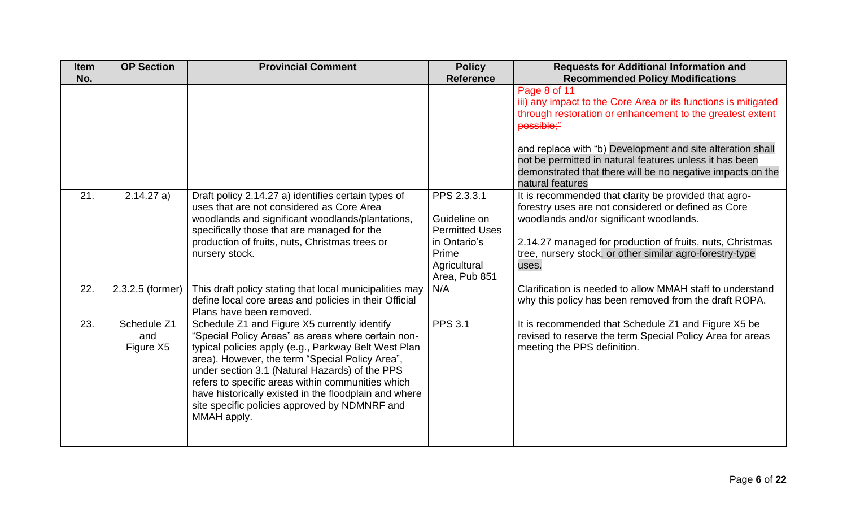| <b>Item</b><br>No. | <b>OP Section</b>               | <b>Provincial Comment</b>                                                                                                                                                                                                                                                                                                                                                                                                                     | <b>Policy</b><br><b>Reference</b>                                                                              | <b>Requests for Additional Information and</b><br><b>Recommended Policy Modifications</b>                                                                                                                                                                                                                                                        |
|--------------------|---------------------------------|-----------------------------------------------------------------------------------------------------------------------------------------------------------------------------------------------------------------------------------------------------------------------------------------------------------------------------------------------------------------------------------------------------------------------------------------------|----------------------------------------------------------------------------------------------------------------|--------------------------------------------------------------------------------------------------------------------------------------------------------------------------------------------------------------------------------------------------------------------------------------------------------------------------------------------------|
|                    |                                 |                                                                                                                                                                                                                                                                                                                                                                                                                                               |                                                                                                                | Page 8 of 11<br>iii) any impact to the Core Area or its functions is mitigated<br>through restoration or enhancement to the greatest extent<br>possible;"<br>and replace with "b) Development and site alteration shall<br>not be permitted in natural features unless it has been<br>demonstrated that there will be no negative impacts on the |
| 21.                | 2.14.27 a)                      | Draft policy 2.14.27 a) identifies certain types of<br>uses that are not considered as Core Area<br>woodlands and significant woodlands/plantations,<br>specifically those that are managed for the<br>production of fruits, nuts, Christmas trees or<br>nursery stock.                                                                                                                                                                       | PPS 2.3.3.1<br>Guideline on<br><b>Permitted Uses</b><br>in Ontario's<br>Prime<br>Agricultural<br>Area, Pub 851 | natural features<br>It is recommended that clarity be provided that agro-<br>forestry uses are not considered or defined as Core<br>woodlands and/or significant woodlands.<br>2.14.27 managed for production of fruits, nuts, Christmas<br>tree, nursery stock, or other similar agro-forestry-type<br>uses.                                    |
| 22.                | 2.3.2.5 (former)                | This draft policy stating that local municipalities may<br>define local core areas and policies in their Official<br>Plans have been removed.                                                                                                                                                                                                                                                                                                 | N/A                                                                                                            | Clarification is needed to allow MMAH staff to understand<br>why this policy has been removed from the draft ROPA.                                                                                                                                                                                                                               |
| 23.                | Schedule Z1<br>and<br>Figure X5 | Schedule Z1 and Figure X5 currently identify<br>"Special Policy Areas" as areas where certain non-<br>typical policies apply (e.g., Parkway Belt West Plan<br>area). However, the term "Special Policy Area",<br>under section 3.1 (Natural Hazards) of the PPS<br>refers to specific areas within communities which<br>have historically existed in the floodplain and where<br>site specific policies approved by NDMNRF and<br>MMAH apply. | <b>PPS 3.1</b>                                                                                                 | It is recommended that Schedule Z1 and Figure X5 be<br>revised to reserve the term Special Policy Area for areas<br>meeting the PPS definition.                                                                                                                                                                                                  |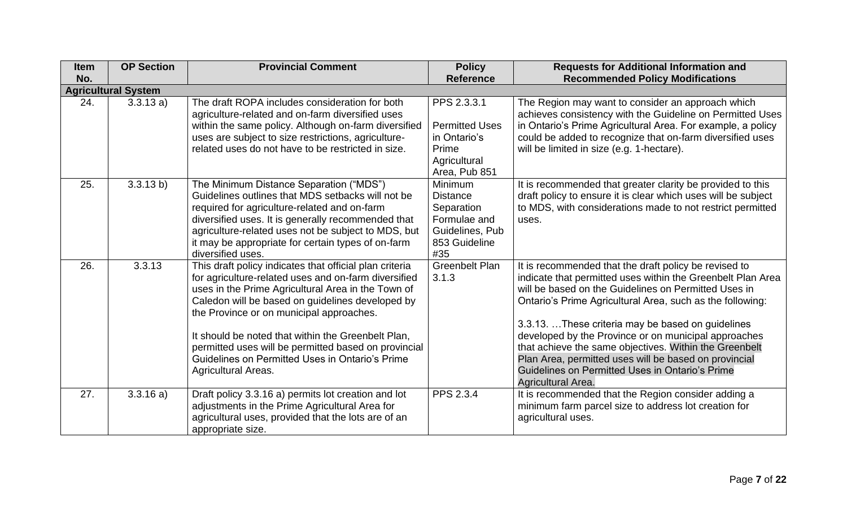| <b>Item</b><br>No. | <b>OP Section</b>          | <b>Provincial Comment</b>                                                                                                                                                                                                                                                                                                                                                                                                                                            | <b>Policy</b><br><b>Reference</b>                                                                   | <b>Requests for Additional Information and</b><br><b>Recommended Policy Modifications</b>                                                                                                                                                                                                                                                                                                                                                                                                                                                          |  |  |  |
|--------------------|----------------------------|----------------------------------------------------------------------------------------------------------------------------------------------------------------------------------------------------------------------------------------------------------------------------------------------------------------------------------------------------------------------------------------------------------------------------------------------------------------------|-----------------------------------------------------------------------------------------------------|----------------------------------------------------------------------------------------------------------------------------------------------------------------------------------------------------------------------------------------------------------------------------------------------------------------------------------------------------------------------------------------------------------------------------------------------------------------------------------------------------------------------------------------------------|--|--|--|
|                    | <b>Agricultural System</b> |                                                                                                                                                                                                                                                                                                                                                                                                                                                                      |                                                                                                     |                                                                                                                                                                                                                                                                                                                                                                                                                                                                                                                                                    |  |  |  |
| 24.                | 3.3.13 a)                  | The draft ROPA includes consideration for both<br>agriculture-related and on-farm diversified uses<br>within the same policy. Although on-farm diversified<br>uses are subject to size restrictions, agriculture-<br>related uses do not have to be restricted in size.                                                                                                                                                                                              | PPS 2.3.3.1<br><b>Permitted Uses</b><br>in Ontario's<br>Prime<br>Agricultural<br>Area, Pub 851      | The Region may want to consider an approach which<br>achieves consistency with the Guideline on Permitted Uses<br>in Ontario's Prime Agricultural Area. For example, a policy<br>could be added to recognize that on-farm diversified uses<br>will be limited in size (e.g. 1-hectare).                                                                                                                                                                                                                                                            |  |  |  |
| 25.                | 3.3.13 b)                  | The Minimum Distance Separation ("MDS")<br>Guidelines outlines that MDS setbacks will not be<br>required for agriculture-related and on-farm<br>diversified uses. It is generally recommended that<br>agriculture-related uses not be subject to MDS, but<br>it may be appropriate for certain types of on-farm<br>diversified uses.                                                                                                                                 | Minimum<br><b>Distance</b><br>Separation<br>Formulae and<br>Guidelines, Pub<br>853 Guideline<br>#35 | It is recommended that greater clarity be provided to this<br>draft policy to ensure it is clear which uses will be subject<br>to MDS, with considerations made to not restrict permitted<br>uses.                                                                                                                                                                                                                                                                                                                                                 |  |  |  |
| 26.                | 3.3.13                     | This draft policy indicates that official plan criteria<br>for agriculture-related uses and on-farm diversified<br>uses in the Prime Agricultural Area in the Town of<br>Caledon will be based on guidelines developed by<br>the Province or on municipal approaches.<br>It should be noted that within the Greenbelt Plan,<br>permitted uses will be permitted based on provincial<br>Guidelines on Permitted Uses in Ontario's Prime<br><b>Agricultural Areas.</b> | <b>Greenbelt Plan</b><br>3.1.3                                                                      | It is recommended that the draft policy be revised to<br>indicate that permitted uses within the Greenbelt Plan Area<br>will be based on the Guidelines on Permitted Uses in<br>Ontario's Prime Agricultural Area, such as the following:<br>3.3.13. These criteria may be based on guidelines<br>developed by the Province or on municipal approaches<br>that achieve the same objectives. Within the Greenbelt<br>Plan Area, permitted uses will be based on provincial<br>Guidelines on Permitted Uses in Ontario's Prime<br>Agricultural Area. |  |  |  |
| 27.                | 3.3.16a)                   | Draft policy 3.3.16 a) permits lot creation and lot<br>adjustments in the Prime Agricultural Area for<br>agricultural uses, provided that the lots are of an<br>appropriate size.                                                                                                                                                                                                                                                                                    | PPS 2.3.4                                                                                           | It is recommended that the Region consider adding a<br>minimum farm parcel size to address lot creation for<br>agricultural uses.                                                                                                                                                                                                                                                                                                                                                                                                                  |  |  |  |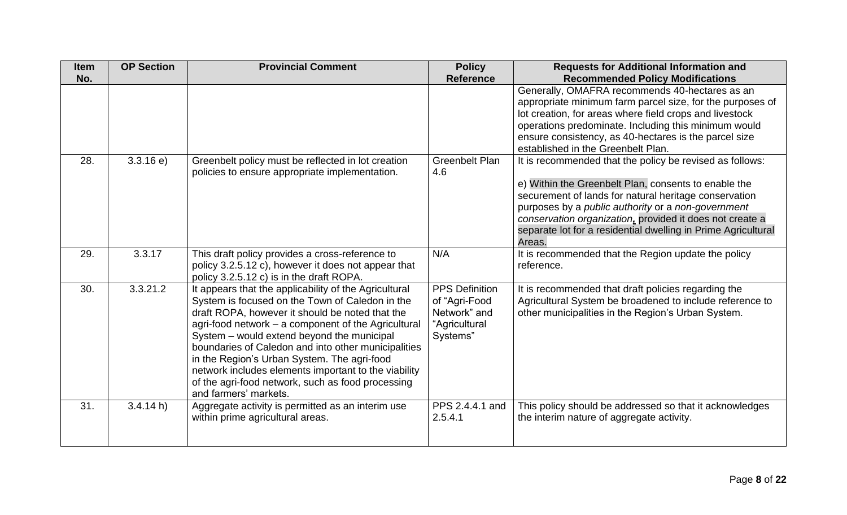| <b>Item</b> | <b>OP Section</b> | <b>Provincial Comment</b>                             | <b>Policy</b>         | <b>Requests for Additional Information and</b>                                                                 |
|-------------|-------------------|-------------------------------------------------------|-----------------------|----------------------------------------------------------------------------------------------------------------|
| No.         |                   |                                                       | <b>Reference</b>      | <b>Recommended Policy Modifications</b>                                                                        |
|             |                   |                                                       |                       | Generally, OMAFRA recommends 40-hectares as an                                                                 |
|             |                   |                                                       |                       | appropriate minimum farm parcel size, for the purposes of                                                      |
|             |                   |                                                       |                       | lot creation, for areas where field crops and livestock                                                        |
|             |                   |                                                       |                       | operations predominate. Including this minimum would                                                           |
|             |                   |                                                       |                       | ensure consistency, as 40-hectares is the parcel size                                                          |
|             |                   |                                                       |                       | established in the Greenbelt Plan.                                                                             |
| 28.         | 3.3.16 e          | Greenbelt policy must be reflected in lot creation    | <b>Greenbelt Plan</b> | It is recommended that the policy be revised as follows:                                                       |
|             |                   | policies to ensure appropriate implementation.        | 4.6                   |                                                                                                                |
|             |                   |                                                       |                       | e) Within the Greenbelt Plan, consents to enable the                                                           |
|             |                   |                                                       |                       | securement of lands for natural heritage conservation                                                          |
|             |                   |                                                       |                       | purposes by a public authority or a non-government<br>conservation organization, provided it does not create a |
|             |                   |                                                       |                       | separate lot for a residential dwelling in Prime Agricultural                                                  |
|             |                   |                                                       |                       | Areas.                                                                                                         |
| 29.         | 3.3.17            | This draft policy provides a cross-reference to       | N/A                   | It is recommended that the Region update the policy                                                            |
|             |                   | policy 3.2.5.12 c), however it does not appear that   |                       | reference.                                                                                                     |
|             |                   | policy 3.2.5.12 c) is in the draft ROPA.              |                       |                                                                                                                |
| 30.         | 3.3.21.2          | It appears that the applicability of the Agricultural | <b>PPS Definition</b> | It is recommended that draft policies regarding the                                                            |
|             |                   | System is focused on the Town of Caledon in the       | of "Agri-Food         | Agricultural System be broadened to include reference to                                                       |
|             |                   | draft ROPA, however it should be noted that the       | Network" and          | other municipalities in the Region's Urban System.                                                             |
|             |                   | agri-food network - a component of the Agricultural   | "Agricultural         |                                                                                                                |
|             |                   | System - would extend beyond the municipal            | Systems"              |                                                                                                                |
|             |                   | boundaries of Caledon and into other municipalities   |                       |                                                                                                                |
|             |                   | in the Region's Urban System. The agri-food           |                       |                                                                                                                |
|             |                   | network includes elements important to the viability  |                       |                                                                                                                |
|             |                   | of the agri-food network, such as food processing     |                       |                                                                                                                |
|             |                   | and farmers' markets.                                 |                       |                                                                                                                |
| 31.         | 3.4.14 h          | Aggregate activity is permitted as an interim use     | PPS 2.4.4.1 and       | This policy should be addressed so that it acknowledges                                                        |
|             |                   | within prime agricultural areas.                      | 2.5.4.1               | the interim nature of aggregate activity.                                                                      |
|             |                   |                                                       |                       |                                                                                                                |
|             |                   |                                                       |                       |                                                                                                                |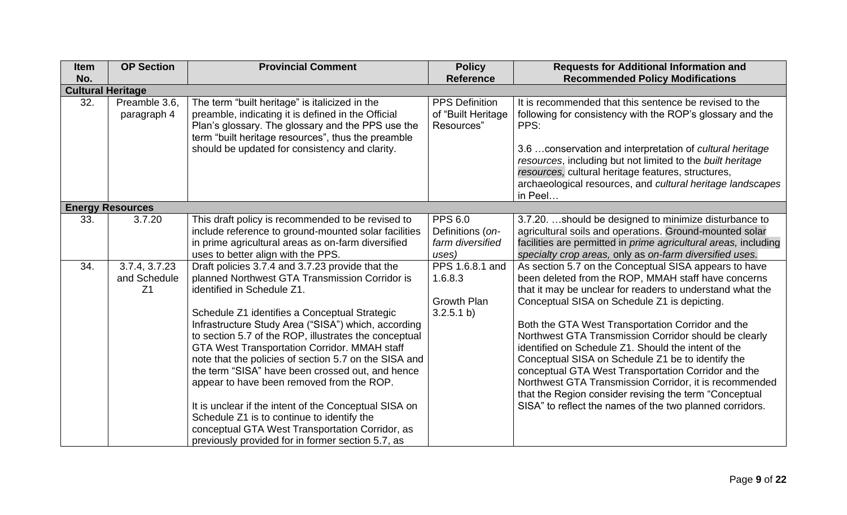| <b>Item</b><br>No. | <b>OP Section</b>                               | <b>Provincial Comment</b>                                                                                                                                                                                                                                                                                                                                                                                                                                                                                                                                                                                                                                                                                                         | <b>Policy</b><br><b>Reference</b>                               | <b>Requests for Additional Information and</b><br><b>Recommended Policy Modifications</b>                                                                                                                                                                                                                                                                                                                                                                                                                                                                                                                                                                                                  |  |  |
|--------------------|-------------------------------------------------|-----------------------------------------------------------------------------------------------------------------------------------------------------------------------------------------------------------------------------------------------------------------------------------------------------------------------------------------------------------------------------------------------------------------------------------------------------------------------------------------------------------------------------------------------------------------------------------------------------------------------------------------------------------------------------------------------------------------------------------|-----------------------------------------------------------------|--------------------------------------------------------------------------------------------------------------------------------------------------------------------------------------------------------------------------------------------------------------------------------------------------------------------------------------------------------------------------------------------------------------------------------------------------------------------------------------------------------------------------------------------------------------------------------------------------------------------------------------------------------------------------------------------|--|--|
|                    | <b>Cultural Heritage</b>                        |                                                                                                                                                                                                                                                                                                                                                                                                                                                                                                                                                                                                                                                                                                                                   |                                                                 |                                                                                                                                                                                                                                                                                                                                                                                                                                                                                                                                                                                                                                                                                            |  |  |
| 32.                | Preamble 3.6,<br>paragraph 4                    | The term "built heritage" is italicized in the<br>preamble, indicating it is defined in the Official<br>Plan's glossary. The glossary and the PPS use the<br>term "built heritage resources", thus the preamble<br>should be updated for consistency and clarity.                                                                                                                                                                                                                                                                                                                                                                                                                                                                 | <b>PPS Definition</b><br>of "Built Heritage<br>Resources"       | It is recommended that this sentence be revised to the<br>following for consistency with the ROP's glossary and the<br>PPS:<br>3.6  conservation and interpretation of cultural heritage<br>resources, including but not limited to the built heritage<br>resources, cultural heritage features, structures,<br>archaeological resources, and cultural heritage landscapes<br>in Peel                                                                                                                                                                                                                                                                                                      |  |  |
|                    | <b>Energy Resources</b>                         |                                                                                                                                                                                                                                                                                                                                                                                                                                                                                                                                                                                                                                                                                                                                   |                                                                 |                                                                                                                                                                                                                                                                                                                                                                                                                                                                                                                                                                                                                                                                                            |  |  |
| 33.                | 3.7.20                                          | This draft policy is recommended to be revised to<br>include reference to ground-mounted solar facilities<br>in prime agricultural areas as on-farm diversified<br>uses to better align with the PPS.                                                                                                                                                                                                                                                                                                                                                                                                                                                                                                                             | <b>PPS 6.0</b><br>Definitions (on-<br>farm diversified<br>uses) | 3.7.20. should be designed to minimize disturbance to<br>agricultural soils and operations. Ground-mounted solar<br>facilities are permitted in prime agricultural areas, including<br>specialty crop areas, only as on-farm diversified uses.                                                                                                                                                                                                                                                                                                                                                                                                                                             |  |  |
| 34.                | 3.7.4, 3.7.23<br>and Schedule<br>Z <sub>1</sub> | Draft policies 3.7.4 and 3.7.23 provide that the<br>planned Northwest GTA Transmission Corridor is<br>identified in Schedule Z1.<br>Schedule Z1 identifies a Conceptual Strategic<br>Infrastructure Study Area ("SISA") which, according<br>to section 5.7 of the ROP, illustrates the conceptual<br><b>GTA West Transportation Corridor. MMAH staff</b><br>note that the policies of section 5.7 on the SISA and<br>the term "SISA" have been crossed out, and hence<br>appear to have been removed from the ROP.<br>It is unclear if the intent of the Conceptual SISA on<br>Schedule Z1 is to continue to identify the<br>conceptual GTA West Transportation Corridor, as<br>previously provided for in former section 5.7, as | PPS 1.6.8.1 and<br>1.6.8.3<br><b>Growth Plan</b><br>3.2.5.1 b)  | As section 5.7 on the Conceptual SISA appears to have<br>been deleted from the ROP, MMAH staff have concerns<br>that it may be unclear for readers to understand what the<br>Conceptual SISA on Schedule Z1 is depicting.<br>Both the GTA West Transportation Corridor and the<br>Northwest GTA Transmission Corridor should be clearly<br>identified on Schedule Z1. Should the intent of the<br>Conceptual SISA on Schedule Z1 be to identify the<br>conceptual GTA West Transportation Corridor and the<br>Northwest GTA Transmission Corridor, it is recommended<br>that the Region consider revising the term "Conceptual<br>SISA" to reflect the names of the two planned corridors. |  |  |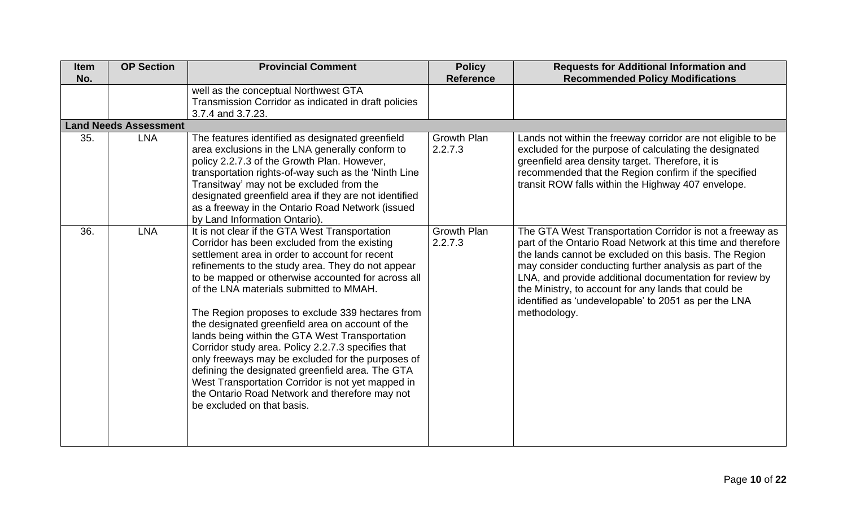| <b>Item</b><br>No. | <b>OP Section</b>            | <b>Provincial Comment</b>                                                                                                                                                                                                                                                                                                                                                                                                                                                                                                                                                                                                                                                                                                                                            | <b>Policy</b><br><b>Reference</b> | <b>Requests for Additional Information and</b><br><b>Recommended Policy Modifications</b>                                                                                                                                                                                                                                                                                                                                               |
|--------------------|------------------------------|----------------------------------------------------------------------------------------------------------------------------------------------------------------------------------------------------------------------------------------------------------------------------------------------------------------------------------------------------------------------------------------------------------------------------------------------------------------------------------------------------------------------------------------------------------------------------------------------------------------------------------------------------------------------------------------------------------------------------------------------------------------------|-----------------------------------|-----------------------------------------------------------------------------------------------------------------------------------------------------------------------------------------------------------------------------------------------------------------------------------------------------------------------------------------------------------------------------------------------------------------------------------------|
|                    |                              | well as the conceptual Northwest GTA<br>Transmission Corridor as indicated in draft policies<br>3.7.4 and 3.7.23.                                                                                                                                                                                                                                                                                                                                                                                                                                                                                                                                                                                                                                                    |                                   |                                                                                                                                                                                                                                                                                                                                                                                                                                         |
|                    | <b>Land Needs Assessment</b> |                                                                                                                                                                                                                                                                                                                                                                                                                                                                                                                                                                                                                                                                                                                                                                      |                                   |                                                                                                                                                                                                                                                                                                                                                                                                                                         |
| 35.                | <b>LNA</b>                   | The features identified as designated greenfield<br>area exclusions in the LNA generally conform to<br>policy 2.2.7.3 of the Growth Plan. However,<br>transportation rights-of-way such as the 'Ninth Line<br>Transitway' may not be excluded from the<br>designated greenfield area if they are not identified<br>as a freeway in the Ontario Road Network (issued<br>by Land Information Ontario).                                                                                                                                                                                                                                                                                                                                                                 | Growth Plan<br>2.2.7.3            | Lands not within the freeway corridor are not eligible to be<br>excluded for the purpose of calculating the designated<br>greenfield area density target. Therefore, it is<br>recommended that the Region confirm if the specified<br>transit ROW falls within the Highway 407 envelope.                                                                                                                                                |
| 36.                | <b>LNA</b>                   | It is not clear if the GTA West Transportation<br>Corridor has been excluded from the existing<br>settlement area in order to account for recent<br>refinements to the study area. They do not appear<br>to be mapped or otherwise accounted for across all<br>of the LNA materials submitted to MMAH.<br>The Region proposes to exclude 339 hectares from<br>the designated greenfield area on account of the<br>lands being within the GTA West Transportation<br>Corridor study area. Policy 2.2.7.3 specifies that<br>only freeways may be excluded for the purposes of<br>defining the designated greenfield area. The GTA<br>West Transportation Corridor is not yet mapped in<br>the Ontario Road Network and therefore may not<br>be excluded on that basis. | <b>Growth Plan</b><br>2.2.7.3     | The GTA West Transportation Corridor is not a freeway as<br>part of the Ontario Road Network at this time and therefore<br>the lands cannot be excluded on this basis. The Region<br>may consider conducting further analysis as part of the<br>LNA, and provide additional documentation for review by<br>the Ministry, to account for any lands that could be<br>identified as 'undevelopable' to 2051 as per the LNA<br>methodology. |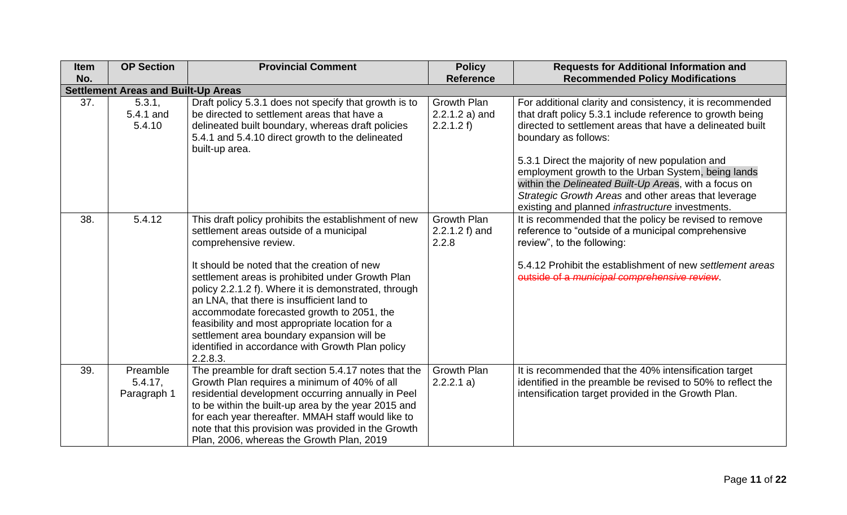| <b>Item</b><br>No. | <b>OP Section</b>                          | <b>Provincial Comment</b>                                                                                                                                                                                                                                                                                                                                                                                                                                                                                                                        | <b>Policy</b><br><b>Reference</b>                   | <b>Requests for Additional Information and</b><br><b>Recommended Policy Modifications</b>                                                                                                                                                                                                                                                                                                                                                                                                        |  |  |
|--------------------|--------------------------------------------|--------------------------------------------------------------------------------------------------------------------------------------------------------------------------------------------------------------------------------------------------------------------------------------------------------------------------------------------------------------------------------------------------------------------------------------------------------------------------------------------------------------------------------------------------|-----------------------------------------------------|--------------------------------------------------------------------------------------------------------------------------------------------------------------------------------------------------------------------------------------------------------------------------------------------------------------------------------------------------------------------------------------------------------------------------------------------------------------------------------------------------|--|--|
|                    | <b>Settlement Areas and Built-Up Areas</b> |                                                                                                                                                                                                                                                                                                                                                                                                                                                                                                                                                  |                                                     |                                                                                                                                                                                                                                                                                                                                                                                                                                                                                                  |  |  |
| 37.                | 5.3.1,<br>5.4.1 and<br>5.4.10              | Draft policy 5.3.1 does not specify that growth is to<br>be directed to settlement areas that have a<br>delineated built boundary, whereas draft policies<br>5.4.1 and 5.4.10 direct growth to the delineated<br>built-up area.                                                                                                                                                                                                                                                                                                                  | <b>Growth Plan</b><br>$2.2.1.2 a)$ and<br>2.2.1.2 f | For additional clarity and consistency, it is recommended<br>that draft policy 5.3.1 include reference to growth being<br>directed to settlement areas that have a delineated built<br>boundary as follows:<br>5.3.1 Direct the majority of new population and<br>employment growth to the Urban System, being lands<br>within the Delineated Built-Up Areas, with a focus on<br>Strategic Growth Areas and other areas that leverage<br>existing and planned <i>infrastructure</i> investments. |  |  |
| 38.                | 5.4.12                                     | This draft policy prohibits the establishment of new<br>settlement areas outside of a municipal<br>comprehensive review.<br>It should be noted that the creation of new<br>settlement areas is prohibited under Growth Plan<br>policy 2.2.1.2 f). Where it is demonstrated, through<br>an LNA, that there is insufficient land to<br>accommodate forecasted growth to 2051, the<br>feasibility and most appropriate location for a<br>settlement area boundary expansion will be<br>identified in accordance with Growth Plan policy<br>2.2.8.3. | Growth Plan<br>$2.2.1.2 f$ ) and<br>2.2.8           | It is recommended that the policy be revised to remove<br>reference to "outside of a municipal comprehensive<br>review", to the following:<br>5.4.12 Prohibit the establishment of new settlement areas<br>outside of a municipal comprehensive review.                                                                                                                                                                                                                                          |  |  |
| 39.                | Preamble<br>$5.4.17$ ,<br>Paragraph 1      | The preamble for draft section 5.4.17 notes that the<br>Growth Plan requires a minimum of 40% of all<br>residential development occurring annually in Peel<br>to be within the built-up area by the year 2015 and<br>for each year thereafter. MMAH staff would like to<br>note that this provision was provided in the Growth<br>Plan, 2006, whereas the Growth Plan, 2019                                                                                                                                                                      | <b>Growth Plan</b><br>2.2.2.1 a)                    | It is recommended that the 40% intensification target<br>identified in the preamble be revised to 50% to reflect the<br>intensification target provided in the Growth Plan.                                                                                                                                                                                                                                                                                                                      |  |  |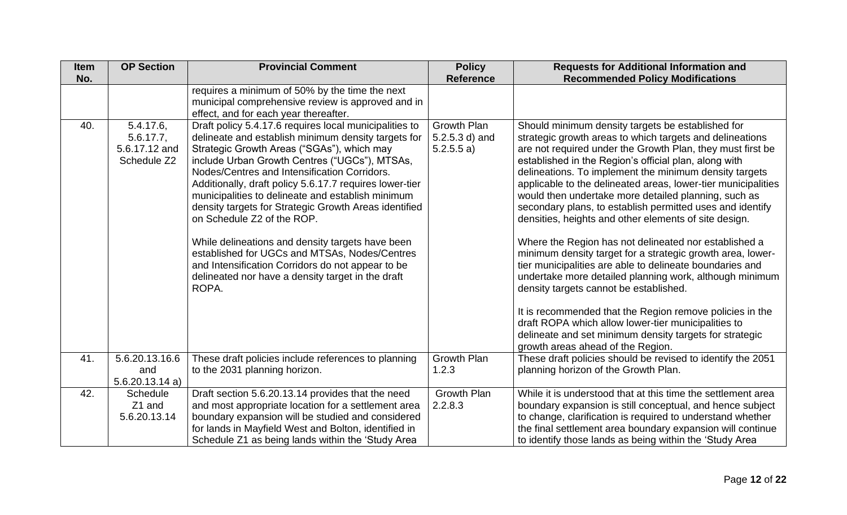| <b>Item</b> | <b>OP Section</b>                                            | <b>Provincial Comment</b>                                                                                                                                                                                                                                                                                                                                                                                                                                                                                                                                                                                                                                                                   | <b>Policy</b>                                 | <b>Requests for Additional Information and</b>                                                                                                                                                                                                                                                                                                                                                                                                                                                                                                                                                                                                                                                                                                                                                                                                                                                                                                           |
|-------------|--------------------------------------------------------------|---------------------------------------------------------------------------------------------------------------------------------------------------------------------------------------------------------------------------------------------------------------------------------------------------------------------------------------------------------------------------------------------------------------------------------------------------------------------------------------------------------------------------------------------------------------------------------------------------------------------------------------------------------------------------------------------|-----------------------------------------------|----------------------------------------------------------------------------------------------------------------------------------------------------------------------------------------------------------------------------------------------------------------------------------------------------------------------------------------------------------------------------------------------------------------------------------------------------------------------------------------------------------------------------------------------------------------------------------------------------------------------------------------------------------------------------------------------------------------------------------------------------------------------------------------------------------------------------------------------------------------------------------------------------------------------------------------------------------|
| No.         |                                                              |                                                                                                                                                                                                                                                                                                                                                                                                                                                                                                                                                                                                                                                                                             | <b>Reference</b>                              | <b>Recommended Policy Modifications</b>                                                                                                                                                                                                                                                                                                                                                                                                                                                                                                                                                                                                                                                                                                                                                                                                                                                                                                                  |
|             |                                                              | requires a minimum of 50% by the time the next<br>municipal comprehensive review is approved and in<br>effect, and for each year thereafter.                                                                                                                                                                                                                                                                                                                                                                                                                                                                                                                                                |                                               |                                                                                                                                                                                                                                                                                                                                                                                                                                                                                                                                                                                                                                                                                                                                                                                                                                                                                                                                                          |
| 40.         | $5.4.17.6$ ,<br>$5.6.17.7$ ,<br>5.6.17.12 and<br>Schedule Z2 | Draft policy 5.4.17.6 requires local municipalities to<br>delineate and establish minimum density targets for<br>Strategic Growth Areas ("SGAs"), which may<br>include Urban Growth Centres ("UGCs"), MTSAs,<br>Nodes/Centres and Intensification Corridors.<br>Additionally, draft policy 5.6.17.7 requires lower-tier<br>municipalities to delineate and establish minimum<br>density targets for Strategic Growth Areas identified<br>on Schedule Z2 of the ROP.<br>While delineations and density targets have been<br>established for UGCs and MTSAs, Nodes/Centres<br>and Intensification Corridors do not appear to be<br>delineated nor have a density target in the draft<br>ROPA. | Growth Plan<br>$5.2.5.3$ d) and<br>5.2.5.5 a) | Should minimum density targets be established for<br>strategic growth areas to which targets and delineations<br>are not required under the Growth Plan, they must first be<br>established in the Region's official plan, along with<br>delineations. To implement the minimum density targets<br>applicable to the delineated areas, lower-tier municipalities<br>would then undertake more detailed planning, such as<br>secondary plans, to establish permitted uses and identify<br>densities, heights and other elements of site design.<br>Where the Region has not delineated nor established a<br>minimum density target for a strategic growth area, lower-<br>tier municipalities are able to delineate boundaries and<br>undertake more detailed planning work, although minimum<br>density targets cannot be established.<br>It is recommended that the Region remove policies in the<br>draft ROPA which allow lower-tier municipalities to |
|             |                                                              |                                                                                                                                                                                                                                                                                                                                                                                                                                                                                                                                                                                                                                                                                             |                                               | delineate and set minimum density targets for strategic<br>growth areas ahead of the Region.                                                                                                                                                                                                                                                                                                                                                                                                                                                                                                                                                                                                                                                                                                                                                                                                                                                             |
| 41.         | 5.6.20.13.16.6<br>and<br>5.6.20.13.14a                       | These draft policies include references to planning<br>to the 2031 planning horizon.                                                                                                                                                                                                                                                                                                                                                                                                                                                                                                                                                                                                        | <b>Growth Plan</b><br>1.2.3                   | These draft policies should be revised to identify the 2051<br>planning horizon of the Growth Plan.                                                                                                                                                                                                                                                                                                                                                                                                                                                                                                                                                                                                                                                                                                                                                                                                                                                      |
| 42.         | <b>Schedule</b><br>Z1 and<br>5.6.20.13.14                    | Draft section 5.6.20.13.14 provides that the need<br>and most appropriate location for a settlement area<br>boundary expansion will be studied and considered<br>for lands in Mayfield West and Bolton, identified in<br>Schedule Z1 as being lands within the 'Study Area                                                                                                                                                                                                                                                                                                                                                                                                                  | <b>Growth Plan</b><br>2.2.8.3                 | While it is understood that at this time the settlement area<br>boundary expansion is still conceptual, and hence subject<br>to change, clarification is required to understand whether<br>the final settlement area boundary expansion will continue<br>to identify those lands as being within the 'Study Area                                                                                                                                                                                                                                                                                                                                                                                                                                                                                                                                                                                                                                         |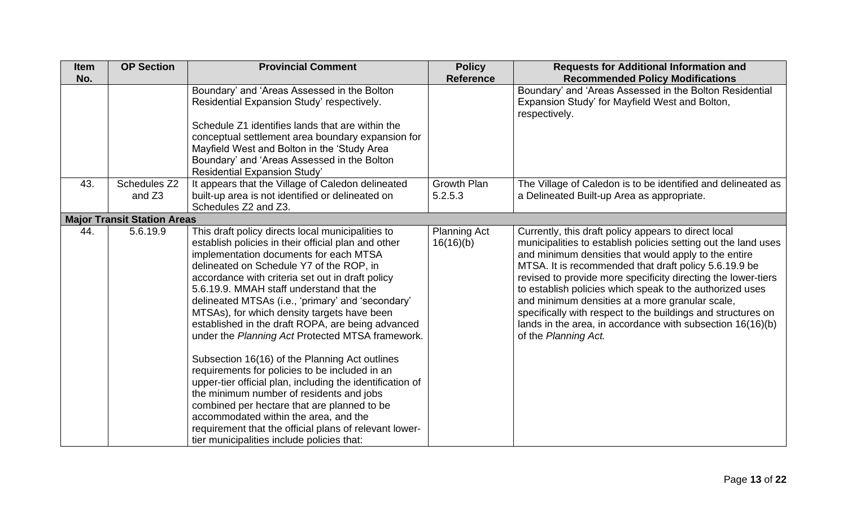| <b>Item</b><br>No. | <b>OP Section</b>                  | <b>Provincial Comment</b>                                                                                                                                                                                                                                                                                                                                                                                                                                                                                                                                                                                                                                                                                                                                                                                                                                                                                                | <b>Policy</b><br><b>Reference</b> | <b>Requests for Additional Information and</b><br><b>Recommended Policy Modifications</b>                                                                                                                                                                                                                                                                                                                                                                                                                                                                                       |
|--------------------|------------------------------------|--------------------------------------------------------------------------------------------------------------------------------------------------------------------------------------------------------------------------------------------------------------------------------------------------------------------------------------------------------------------------------------------------------------------------------------------------------------------------------------------------------------------------------------------------------------------------------------------------------------------------------------------------------------------------------------------------------------------------------------------------------------------------------------------------------------------------------------------------------------------------------------------------------------------------|-----------------------------------|---------------------------------------------------------------------------------------------------------------------------------------------------------------------------------------------------------------------------------------------------------------------------------------------------------------------------------------------------------------------------------------------------------------------------------------------------------------------------------------------------------------------------------------------------------------------------------|
|                    |                                    | Boundary' and 'Areas Assessed in the Bolton<br>Residential Expansion Study' respectively.<br>Schedule Z1 identifies lands that are within the<br>conceptual settlement area boundary expansion for<br>Mayfield West and Bolton in the 'Study Area<br>Boundary' and 'Areas Assessed in the Bolton<br>Residential Expansion Study'                                                                                                                                                                                                                                                                                                                                                                                                                                                                                                                                                                                         |                                   | Boundary' and 'Areas Assessed in the Bolton Residential<br>Expansion Study' for Mayfield West and Bolton,<br>respectively.                                                                                                                                                                                                                                                                                                                                                                                                                                                      |
| 43.                | Schedules Z2<br>and Z3             | It appears that the Village of Caledon delineated<br>built-up area is not identified or delineated on<br>Schedules Z2 and Z3.                                                                                                                                                                                                                                                                                                                                                                                                                                                                                                                                                                                                                                                                                                                                                                                            | <b>Growth Plan</b><br>5.2.5.3     | The Village of Caledon is to be identified and delineated as<br>a Delineated Built-up Area as appropriate.                                                                                                                                                                                                                                                                                                                                                                                                                                                                      |
|                    | <b>Major Transit Station Areas</b> |                                                                                                                                                                                                                                                                                                                                                                                                                                                                                                                                                                                                                                                                                                                                                                                                                                                                                                                          |                                   |                                                                                                                                                                                                                                                                                                                                                                                                                                                                                                                                                                                 |
| 44.                | 5.6.19.9                           | This draft policy directs local municipalities to<br>establish policies in their official plan and other<br>implementation documents for each MTSA<br>delineated on Schedule Y7 of the ROP, in<br>accordance with criteria set out in draft policy<br>5.6.19.9. MMAH staff understand that the<br>delineated MTSAs (i.e., 'primary' and 'secondary'<br>MTSAs), for which density targets have been<br>established in the draft ROPA, are being advanced<br>under the Planning Act Protected MTSA framework.<br>Subsection 16(16) of the Planning Act outlines<br>requirements for policies to be included in an<br>upper-tier official plan, including the identification of<br>the minimum number of residents and jobs<br>combined per hectare that are planned to be<br>accommodated within the area, and the<br>requirement that the official plans of relevant lower-<br>tier municipalities include policies that: | <b>Planning Act</b><br>16(16)(b)  | Currently, this draft policy appears to direct local<br>municipalities to establish policies setting out the land uses<br>and minimum densities that would apply to the entire<br>MTSA. It is recommended that draft policy 5.6.19.9 be<br>revised to provide more specificity directing the lower-tiers<br>to establish policies which speak to the authorized uses<br>and minimum densities at a more granular scale,<br>specifically with respect to the buildings and structures on<br>lands in the area, in accordance with subsection $16(16)(b)$<br>of the Planning Act. |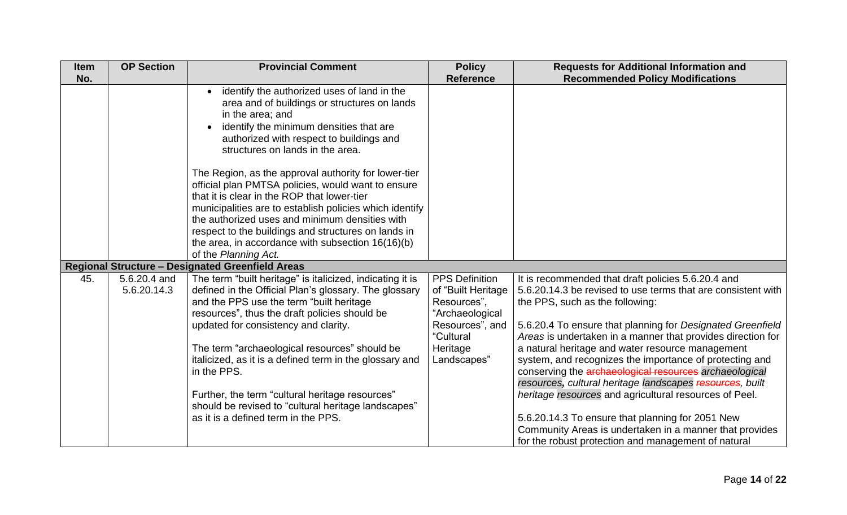| <b>Item</b><br>No. | <b>OP Section</b>           | <b>Provincial Comment</b>                                                                                                                                                                                                                                                                                                                                                                                                                                                                                                                                                                                                                                             | <b>Policy</b><br><b>Reference</b>                                                                                                        | <b>Requests for Additional Information and</b><br><b>Recommended Policy Modifications</b>                                                                                                                                                                                                                                                                                                                                                                                                                                                                                                                                                                                                                                                               |
|--------------------|-----------------------------|-----------------------------------------------------------------------------------------------------------------------------------------------------------------------------------------------------------------------------------------------------------------------------------------------------------------------------------------------------------------------------------------------------------------------------------------------------------------------------------------------------------------------------------------------------------------------------------------------------------------------------------------------------------------------|------------------------------------------------------------------------------------------------------------------------------------------|---------------------------------------------------------------------------------------------------------------------------------------------------------------------------------------------------------------------------------------------------------------------------------------------------------------------------------------------------------------------------------------------------------------------------------------------------------------------------------------------------------------------------------------------------------------------------------------------------------------------------------------------------------------------------------------------------------------------------------------------------------|
|                    |                             | identify the authorized uses of land in the<br>$\bullet$<br>area and of buildings or structures on lands<br>in the area; and<br>identify the minimum densities that are<br>authorized with respect to buildings and<br>structures on lands in the area.<br>The Region, as the approval authority for lower-tier<br>official plan PMTSA policies, would want to ensure<br>that it is clear in the ROP that lower-tier<br>municipalities are to establish policies which identify<br>the authorized uses and minimum densities with<br>respect to the buildings and structures on lands in<br>the area, in accordance with subsection 16(16)(b)<br>of the Planning Act. |                                                                                                                                          |                                                                                                                                                                                                                                                                                                                                                                                                                                                                                                                                                                                                                                                                                                                                                         |
|                    |                             | <b>Regional Structure - Designated Greenfield Areas</b>                                                                                                                                                                                                                                                                                                                                                                                                                                                                                                                                                                                                               |                                                                                                                                          |                                                                                                                                                                                                                                                                                                                                                                                                                                                                                                                                                                                                                                                                                                                                                         |
| 45.                | 5.6.20.4 and<br>5.6.20.14.3 | The term "built heritage" is italicized, indicating it is<br>defined in the Official Plan's glossary. The glossary<br>and the PPS use the term "built heritage<br>resources", thus the draft policies should be<br>updated for consistency and clarity.<br>The term "archaeological resources" should be<br>italicized, as it is a defined term in the glossary and<br>in the PPS.<br>Further, the term "cultural heritage resources"<br>should be revised to "cultural heritage landscapes"<br>as it is a defined term in the PPS.                                                                                                                                   | <b>PPS Definition</b><br>of "Built Heritage<br>Resources",<br>"Archaeological<br>Resources", and<br>"Cultural<br>Heritage<br>Landscapes" | It is recommended that draft policies 5.6.20.4 and<br>5.6.20.14.3 be revised to use terms that are consistent with<br>the PPS, such as the following:<br>5.6.20.4 To ensure that planning for Designated Greenfield<br>Areas is undertaken in a manner that provides direction for<br>a natural heritage and water resource management<br>system, and recognizes the importance of protecting and<br>conserving the archaeological resources archaeological<br>resources, cultural heritage landscapes resources, built<br>heritage resources and agricultural resources of Peel.<br>5.6.20.14.3 To ensure that planning for 2051 New<br>Community Areas is undertaken in a manner that provides<br>for the robust protection and management of natural |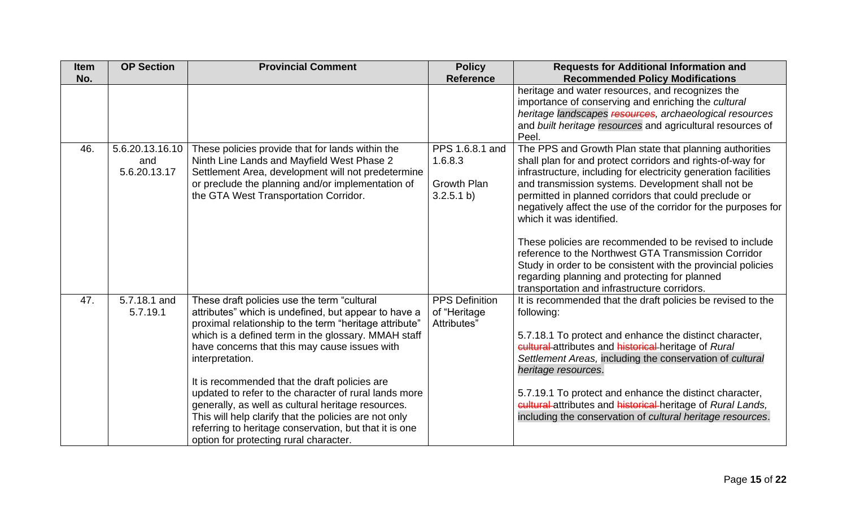| <b>Item</b> | <b>OP Section</b>         | <b>Provincial Comment</b>                              | <b>Policy</b>         | <b>Requests for Additional Information and</b>                                                          |
|-------------|---------------------------|--------------------------------------------------------|-----------------------|---------------------------------------------------------------------------------------------------------|
| No.         |                           |                                                        | <b>Reference</b>      | <b>Recommended Policy Modifications</b>                                                                 |
|             |                           |                                                        |                       | heritage and water resources, and recognizes the<br>importance of conserving and enriching the cultural |
|             |                           |                                                        |                       | heritage landscapes resources, archaeological resources                                                 |
|             |                           |                                                        |                       | and built heritage resources and agricultural resources of                                              |
|             |                           |                                                        |                       | Peel.                                                                                                   |
| 46.         | 5.6.20.13.16.10           | These policies provide that for lands within the       | PPS 1.6.8.1 and       | The PPS and Growth Plan state that planning authorities                                                 |
|             | and                       | Ninth Line Lands and Mayfield West Phase 2             | 1.6.8.3               | shall plan for and protect corridors and rights-of-way for                                              |
|             | 5.6.20.13.17              | Settlement Area, development will not predetermine     |                       | infrastructure, including for electricity generation facilities                                         |
|             |                           | or preclude the planning and/or implementation of      | <b>Growth Plan</b>    | and transmission systems. Development shall not be                                                      |
|             |                           | the GTA West Transportation Corridor.                  | 3.2.5.1 b)            | permitted in planned corridors that could preclude or                                                   |
|             |                           |                                                        |                       | negatively affect the use of the corridor for the purposes for<br>which it was identified.              |
|             |                           |                                                        |                       |                                                                                                         |
|             |                           |                                                        |                       | These policies are recommended to be revised to include                                                 |
|             |                           |                                                        |                       | reference to the Northwest GTA Transmission Corridor                                                    |
|             |                           |                                                        |                       | Study in order to be consistent with the provincial policies                                            |
|             |                           |                                                        |                       | regarding planning and protecting for planned                                                           |
|             |                           |                                                        |                       | transportation and infrastructure corridors.                                                            |
| 47.         | $\overline{5.7.18.1}$ and | These draft policies use the term "cultural            | <b>PPS Definition</b> | It is recommended that the draft policies be revised to the                                             |
|             | 5.7.19.1                  | attributes" which is undefined, but appear to have a   | of "Heritage          | following:                                                                                              |
|             |                           | proximal relationship to the term "heritage attribute" | Attributes"           |                                                                                                         |
|             |                           | which is a defined term in the glossary. MMAH staff    |                       | 5.7.18.1 To protect and enhance the distinct character,                                                 |
|             |                           | have concerns that this may cause issues with          |                       | cultural attributes and historical heritage of Rural                                                    |
|             |                           | interpretation.                                        |                       | Settlement Areas, including the conservation of cultural<br>heritage resources.                         |
|             |                           | It is recommended that the draft policies are          |                       |                                                                                                         |
|             |                           | updated to refer to the character of rural lands more  |                       | 5.7.19.1 To protect and enhance the distinct character,                                                 |
|             |                           | generally, as well as cultural heritage resources.     |                       | cultural-attributes and historical-heritage of Rural Lands,                                             |
|             |                           | This will help clarify that the policies are not only  |                       | including the conservation of cultural heritage resources.                                              |
|             |                           | referring to heritage conservation, but that it is one |                       |                                                                                                         |
|             |                           | option for protecting rural character.                 |                       |                                                                                                         |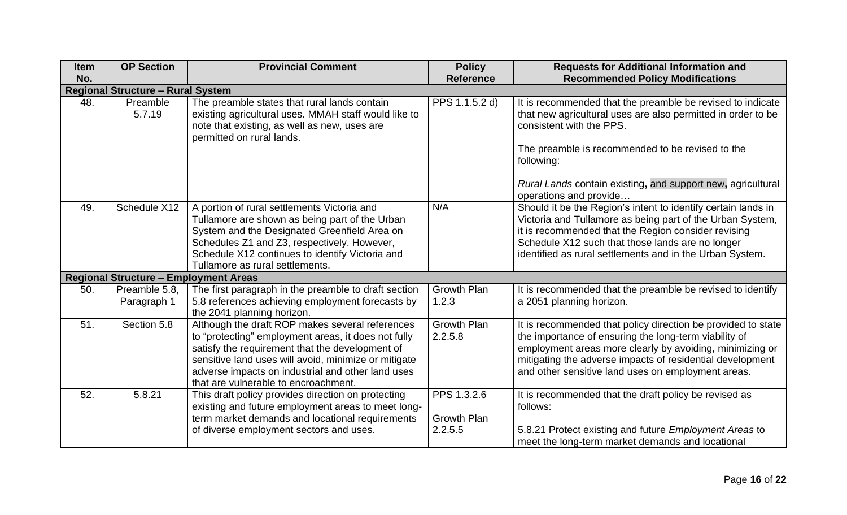| <b>Item</b> | <b>OP Section</b>                            | <b>Provincial Comment</b>                                                                                                                                                                                                                                                                                      | <b>Policy</b>                 | <b>Requests for Additional Information and</b>                                                                                                                                                                                                                                                       |  |  |  |
|-------------|----------------------------------------------|----------------------------------------------------------------------------------------------------------------------------------------------------------------------------------------------------------------------------------------------------------------------------------------------------------------|-------------------------------|------------------------------------------------------------------------------------------------------------------------------------------------------------------------------------------------------------------------------------------------------------------------------------------------------|--|--|--|
| No.         |                                              |                                                                                                                                                                                                                                                                                                                | <b>Reference</b>              | <b>Recommended Policy Modifications</b>                                                                                                                                                                                                                                                              |  |  |  |
|             | <b>Regional Structure - Rural System</b>     |                                                                                                                                                                                                                                                                                                                |                               |                                                                                                                                                                                                                                                                                                      |  |  |  |
| 48.         | Preamble<br>5.7.19                           | The preamble states that rural lands contain<br>existing agricultural uses. MMAH staff would like to<br>note that existing, as well as new, uses are<br>permitted on rural lands.                                                                                                                              | PPS 1.1.5.2 d)                | It is recommended that the preamble be revised to indicate<br>that new agricultural uses are also permitted in order to be<br>consistent with the PPS.                                                                                                                                               |  |  |  |
|             |                                              |                                                                                                                                                                                                                                                                                                                |                               | The preamble is recommended to be revised to the<br>following:                                                                                                                                                                                                                                       |  |  |  |
|             |                                              |                                                                                                                                                                                                                                                                                                                |                               | Rural Lands contain existing, and support new, agricultural<br>operations and provide                                                                                                                                                                                                                |  |  |  |
| 49.         | Schedule X12                                 | A portion of rural settlements Victoria and<br>Tullamore are shown as being part of the Urban<br>System and the Designated Greenfield Area on<br>Schedules Z1 and Z3, respectively. However,<br>Schedule X12 continues to identify Victoria and<br>Tullamore as rural settlements.                             | N/A                           | Should it be the Region's intent to identify certain lands in<br>Victoria and Tullamore as being part of the Urban System,<br>it is recommended that the Region consider revising<br>Schedule X12 such that those lands are no longer<br>identified as rural settlements and in the Urban System.    |  |  |  |
|             | <b>Regional Structure - Employment Areas</b> |                                                                                                                                                                                                                                                                                                                |                               |                                                                                                                                                                                                                                                                                                      |  |  |  |
| 50.         | Preamble 5.8,<br>Paragraph 1                 | The first paragraph in the preamble to draft section<br>5.8 references achieving employment forecasts by<br>the 2041 planning horizon.                                                                                                                                                                         | <b>Growth Plan</b><br>1.2.3   | It is recommended that the preamble be revised to identify<br>a 2051 planning horizon.                                                                                                                                                                                                               |  |  |  |
| 51.         | Section 5.8                                  | Although the draft ROP makes several references<br>to "protecting" employment areas, it does not fully<br>satisfy the requirement that the development of<br>sensitive land uses will avoid, minimize or mitigate<br>adverse impacts on industrial and other land uses<br>that are vulnerable to encroachment. | <b>Growth Plan</b><br>2.2.5.8 | It is recommended that policy direction be provided to state<br>the importance of ensuring the long-term viability of<br>employment areas more clearly by avoiding, minimizing or<br>mitigating the adverse impacts of residential development<br>and other sensitive land uses on employment areas. |  |  |  |
| 52.         | 5.8.21                                       | This draft policy provides direction on protecting<br>existing and future employment areas to meet long-                                                                                                                                                                                                       | PPS 1.3.2.6                   | It is recommended that the draft policy be revised as<br>follows:                                                                                                                                                                                                                                    |  |  |  |
|             |                                              | term market demands and locational requirements                                                                                                                                                                                                                                                                | <b>Growth Plan</b>            |                                                                                                                                                                                                                                                                                                      |  |  |  |
|             |                                              | of diverse employment sectors and uses.                                                                                                                                                                                                                                                                        | 2.2.5.5                       | 5.8.21 Protect existing and future Employment Areas to<br>meet the long-term market demands and locational                                                                                                                                                                                           |  |  |  |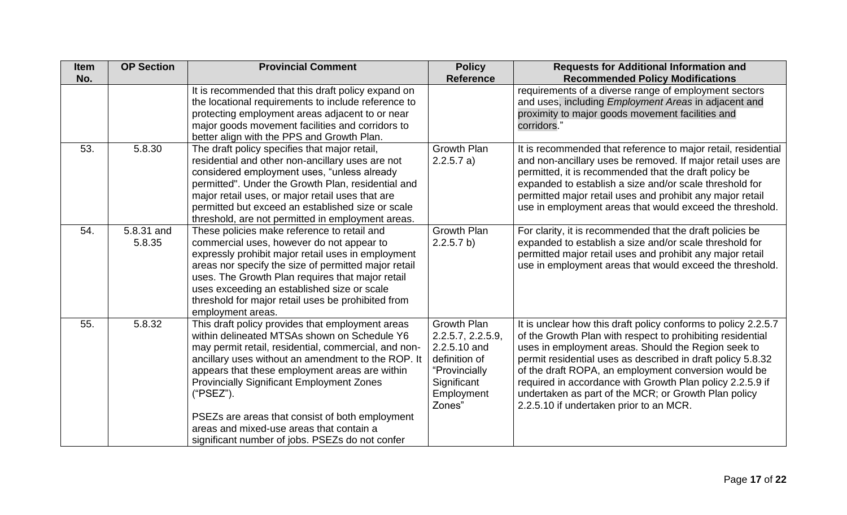| <b>Item</b> | <b>OP Section</b>    | <b>Provincial Comment</b>                                                                                                                                                                                                                                                                                                                                                                                                                                                           | <b>Policy</b>                                                                                                             | <b>Requests for Additional Information and</b>                                                                                                                                                                                                                                                                                                                                                                                                                             |
|-------------|----------------------|-------------------------------------------------------------------------------------------------------------------------------------------------------------------------------------------------------------------------------------------------------------------------------------------------------------------------------------------------------------------------------------------------------------------------------------------------------------------------------------|---------------------------------------------------------------------------------------------------------------------------|----------------------------------------------------------------------------------------------------------------------------------------------------------------------------------------------------------------------------------------------------------------------------------------------------------------------------------------------------------------------------------------------------------------------------------------------------------------------------|
| No.         |                      |                                                                                                                                                                                                                                                                                                                                                                                                                                                                                     | <b>Reference</b>                                                                                                          | <b>Recommended Policy Modifications</b>                                                                                                                                                                                                                                                                                                                                                                                                                                    |
|             |                      | It is recommended that this draft policy expand on<br>the locational requirements to include reference to<br>protecting employment areas adjacent to or near<br>major goods movement facilities and corridors to<br>better align with the PPS and Growth Plan.                                                                                                                                                                                                                      |                                                                                                                           | requirements of a diverse range of employment sectors<br>and uses, including <i>Employment Areas</i> in adjacent and<br>proximity to major goods movement facilities and<br>corridors."                                                                                                                                                                                                                                                                                    |
| 53.         | 5.8.30               | The draft policy specifies that major retail,<br>residential and other non-ancillary uses are not<br>considered employment uses, "unless already<br>permitted". Under the Growth Plan, residential and<br>major retail uses, or major retail uses that are<br>permitted but exceed an established size or scale<br>threshold, are not permitted in employment areas.                                                                                                                | <b>Growth Plan</b><br>2.2.5.7 a)                                                                                          | It is recommended that reference to major retail, residential<br>and non-ancillary uses be removed. If major retail uses are<br>permitted, it is recommended that the draft policy be<br>expanded to establish a size and/or scale threshold for<br>permitted major retail uses and prohibit any major retail<br>use in employment areas that would exceed the threshold.                                                                                                  |
| 54.         | 5.8.31 and<br>5.8.35 | These policies make reference to retail and<br>commercial uses, however do not appear to<br>expressly prohibit major retail uses in employment<br>areas nor specify the size of permitted major retail<br>uses. The Growth Plan requires that major retail<br>uses exceeding an established size or scale<br>threshold for major retail uses be prohibited from<br>employment areas.                                                                                                | <b>Growth Plan</b><br>2.2.5.7 b)                                                                                          | For clarity, it is recommended that the draft policies be<br>expanded to establish a size and/or scale threshold for<br>permitted major retail uses and prohibit any major retail<br>use in employment areas that would exceed the threshold.                                                                                                                                                                                                                              |
| 55.         | 5.8.32               | This draft policy provides that employment areas<br>within delineated MTSAs shown on Schedule Y6<br>may permit retail, residential, commercial, and non-<br>ancillary uses without an amendment to the ROP. It<br>appears that these employment areas are within<br><b>Provincially Significant Employment Zones</b><br>("PSEZ").<br>PSEZs are areas that consist of both employment<br>areas and mixed-use areas that contain a<br>significant number of jobs. PSEZs do not confer | Growth Plan<br>2.2.5.7, 2.2.5.9,<br>2.2.5.10 and<br>definition of<br>"Provincially<br>Significant<br>Employment<br>Zones" | It is unclear how this draft policy conforms to policy 2.2.5.7<br>of the Growth Plan with respect to prohibiting residential<br>uses in employment areas. Should the Region seek to<br>permit residential uses as described in draft policy 5.8.32<br>of the draft ROPA, an employment conversion would be<br>required in accordance with Growth Plan policy 2.2.5.9 if<br>undertaken as part of the MCR; or Growth Plan policy<br>2.2.5.10 if undertaken prior to an MCR. |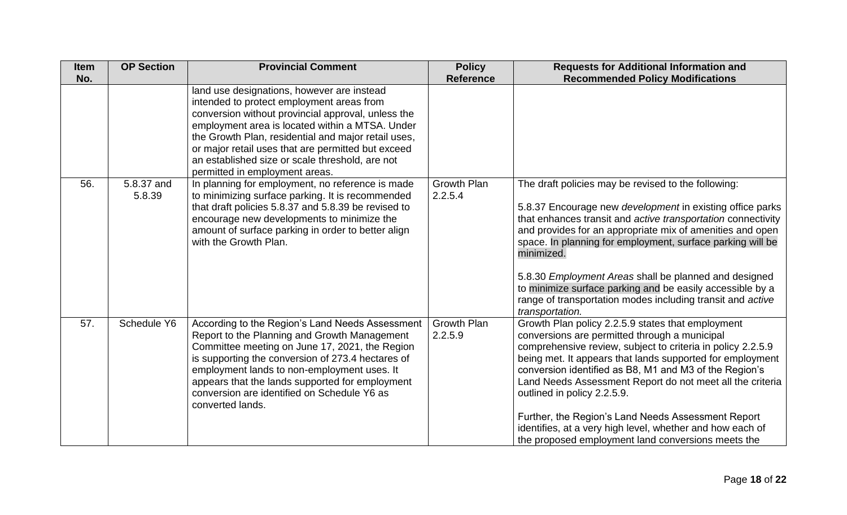| <b>Item</b> | <b>OP Section</b>    | <b>Provincial Comment</b>                                                                                                                                                                                                                                                                                                                                                                          | <b>Policy</b>                 | <b>Requests for Additional Information and</b>                                                                                                                                                                                                                                                                                                                                                                                                                                                                                                                |
|-------------|----------------------|----------------------------------------------------------------------------------------------------------------------------------------------------------------------------------------------------------------------------------------------------------------------------------------------------------------------------------------------------------------------------------------------------|-------------------------------|---------------------------------------------------------------------------------------------------------------------------------------------------------------------------------------------------------------------------------------------------------------------------------------------------------------------------------------------------------------------------------------------------------------------------------------------------------------------------------------------------------------------------------------------------------------|
| No.         |                      |                                                                                                                                                                                                                                                                                                                                                                                                    | <b>Reference</b>              | <b>Recommended Policy Modifications</b>                                                                                                                                                                                                                                                                                                                                                                                                                                                                                                                       |
|             |                      | land use designations, however are instead<br>intended to protect employment areas from<br>conversion without provincial approval, unless the<br>employment area is located within a MTSA. Under<br>the Growth Plan, residential and major retail uses,<br>or major retail uses that are permitted but exceed<br>an established size or scale threshold, are not<br>permitted in employment areas. |                               |                                                                                                                                                                                                                                                                                                                                                                                                                                                                                                                                                               |
| 56.         | 5.8.37 and<br>5.8.39 | In planning for employment, no reference is made<br>to minimizing surface parking. It is recommended<br>that draft policies 5.8.37 and 5.8.39 be revised to<br>encourage new developments to minimize the<br>amount of surface parking in order to better align<br>with the Growth Plan.                                                                                                           | <b>Growth Plan</b><br>2.2.5.4 | The draft policies may be revised to the following:<br>5.8.37 Encourage new development in existing office parks<br>that enhances transit and active transportation connectivity<br>and provides for an appropriate mix of amenities and open<br>space. In planning for employment, surface parking will be<br>minimized.<br>5.8.30 Employment Areas shall be planned and designed<br>to minimize surface parking and be easily accessible by a<br>range of transportation modes including transit and active<br>transportation.                              |
| 57.         | Schedule Y6          | According to the Region's Land Needs Assessment<br>Report to the Planning and Growth Management<br>Committee meeting on June 17, 2021, the Region<br>is supporting the conversion of 273.4 hectares of<br>employment lands to non-employment uses. It<br>appears that the lands supported for employment<br>conversion are identified on Schedule Y6 as<br>converted lands.                        | <b>Growth Plan</b><br>2.2.5.9 | Growth Plan policy 2.2.5.9 states that employment<br>conversions are permitted through a municipal<br>comprehensive review, subject to criteria in policy 2.2.5.9<br>being met. It appears that lands supported for employment<br>conversion identified as B8, M1 and M3 of the Region's<br>Land Needs Assessment Report do not meet all the criteria<br>outlined in policy 2.2.5.9.<br>Further, the Region's Land Needs Assessment Report<br>identifies, at a very high level, whether and how each of<br>the proposed employment land conversions meets the |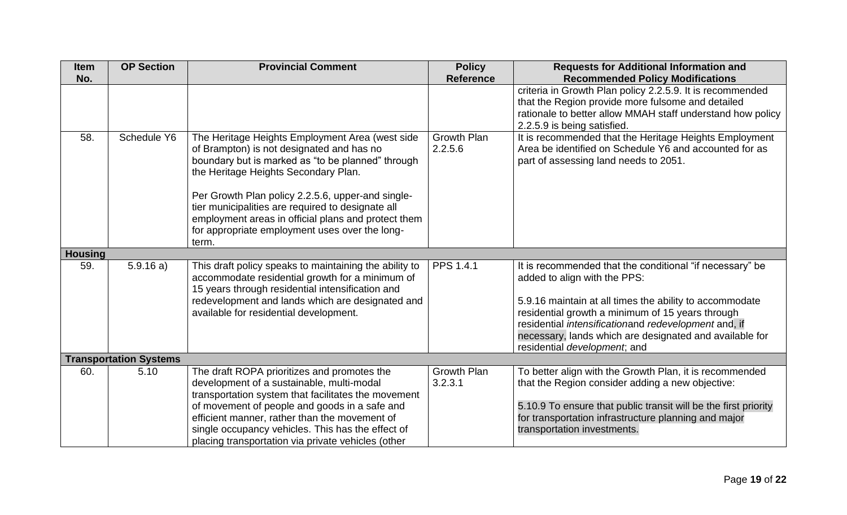| <b>Item</b><br>No. | <b>OP Section</b>             | <b>Provincial Comment</b>                                                                                                                                                                                                                                                                                                                                                                                             | <b>Policy</b><br><b>Reference</b> | <b>Requests for Additional Information and</b><br><b>Recommended Policy Modifications</b>                                                                                                                                                                                                                                                                  |
|--------------------|-------------------------------|-----------------------------------------------------------------------------------------------------------------------------------------------------------------------------------------------------------------------------------------------------------------------------------------------------------------------------------------------------------------------------------------------------------------------|-----------------------------------|------------------------------------------------------------------------------------------------------------------------------------------------------------------------------------------------------------------------------------------------------------------------------------------------------------------------------------------------------------|
|                    |                               |                                                                                                                                                                                                                                                                                                                                                                                                                       |                                   | criteria in Growth Plan policy 2.2.5.9. It is recommended<br>that the Region provide more fulsome and detailed<br>rationale to better allow MMAH staff understand how policy<br>2.2.5.9 is being satisfied.                                                                                                                                                |
| 58.                | Schedule Y6                   | The Heritage Heights Employment Area (west side<br>of Brampton) is not designated and has no<br>boundary but is marked as "to be planned" through<br>the Heritage Heights Secondary Plan.<br>Per Growth Plan policy 2.2.5.6, upper-and single-<br>tier municipalities are required to designate all<br>employment areas in official plans and protect them<br>for appropriate employment uses over the long-<br>term. | <b>Growth Plan</b><br>2.2.5.6     | It is recommended that the Heritage Heights Employment<br>Area be identified on Schedule Y6 and accounted for as<br>part of assessing land needs to 2051.                                                                                                                                                                                                  |
| <b>Housing</b>     |                               |                                                                                                                                                                                                                                                                                                                                                                                                                       |                                   |                                                                                                                                                                                                                                                                                                                                                            |
| 59.                | 5.9.16a)                      | This draft policy speaks to maintaining the ability to<br>accommodate residential growth for a minimum of<br>15 years through residential intensification and<br>redevelopment and lands which are designated and<br>available for residential development.                                                                                                                                                           | PPS 1.4.1                         | It is recommended that the conditional "if necessary" be<br>added to align with the PPS:<br>5.9.16 maintain at all times the ability to accommodate<br>residential growth a minimum of 15 years through<br>residential intensificationand redevelopment and, if<br>necessary, lands which are designated and available for<br>residential development; and |
|                    | <b>Transportation Systems</b> |                                                                                                                                                                                                                                                                                                                                                                                                                       |                                   |                                                                                                                                                                                                                                                                                                                                                            |
| 60.                | 5.10                          | The draft ROPA prioritizes and promotes the<br>development of a sustainable, multi-modal<br>transportation system that facilitates the movement<br>of movement of people and goods in a safe and<br>efficient manner, rather than the movement of<br>single occupancy vehicles. This has the effect of<br>placing transportation via private vehicles (other                                                          | Growth Plan<br>3.2.3.1            | To better align with the Growth Plan, it is recommended<br>that the Region consider adding a new objective:<br>5.10.9 To ensure that public transit will be the first priority<br>for transportation infrastructure planning and major<br>transportation investments.                                                                                      |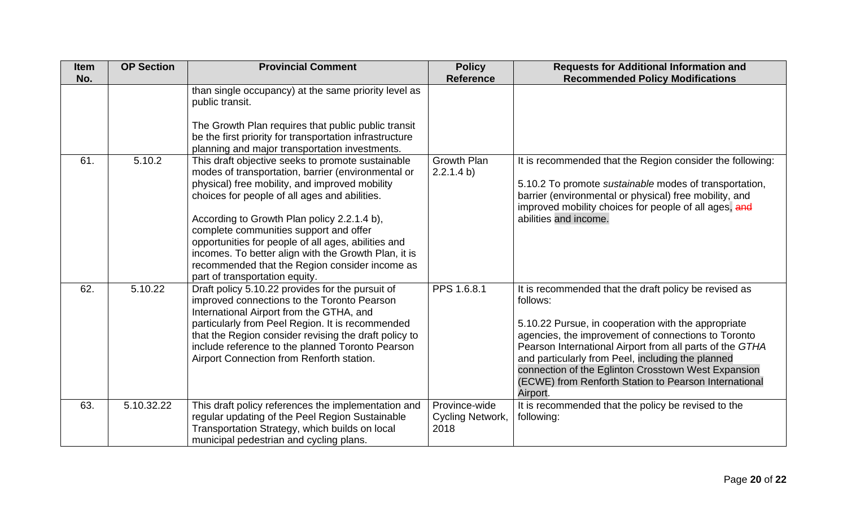| <b>Item</b> | <b>OP Section</b> | <b>Provincial Comment</b>                                                                                                                                                                                                                                                                                                                                                                                                                                                                              | <b>Policy</b>                             | <b>Requests for Additional Information and</b>                                                                                                                                                                                                                                                                                                                                                                               |
|-------------|-------------------|--------------------------------------------------------------------------------------------------------------------------------------------------------------------------------------------------------------------------------------------------------------------------------------------------------------------------------------------------------------------------------------------------------------------------------------------------------------------------------------------------------|-------------------------------------------|------------------------------------------------------------------------------------------------------------------------------------------------------------------------------------------------------------------------------------------------------------------------------------------------------------------------------------------------------------------------------------------------------------------------------|
| No.         |                   |                                                                                                                                                                                                                                                                                                                                                                                                                                                                                                        | <b>Reference</b>                          | <b>Recommended Policy Modifications</b>                                                                                                                                                                                                                                                                                                                                                                                      |
|             |                   | than single occupancy) at the same priority level as<br>public transit.                                                                                                                                                                                                                                                                                                                                                                                                                                |                                           |                                                                                                                                                                                                                                                                                                                                                                                                                              |
|             |                   | The Growth Plan requires that public public transit<br>be the first priority for transportation infrastructure<br>planning and major transportation investments.                                                                                                                                                                                                                                                                                                                                       |                                           |                                                                                                                                                                                                                                                                                                                                                                                                                              |
| 61.         | 5.10.2            | This draft objective seeks to promote sustainable<br>modes of transportation, barrier (environmental or<br>physical) free mobility, and improved mobility<br>choices for people of all ages and abilities.<br>According to Growth Plan policy 2.2.1.4 b),<br>complete communities support and offer<br>opportunities for people of all ages, abilities and<br>incomes. To better align with the Growth Plan, it is<br>recommended that the Region consider income as<br>part of transportation equity. | <b>Growth Plan</b><br>2.2.1.4 b)          | It is recommended that the Region consider the following:<br>5.10.2 To promote sustainable modes of transportation,<br>barrier (environmental or physical) free mobility, and<br>improved mobility choices for people of all ages, and<br>abilities and income.                                                                                                                                                              |
| 62.         | 5.10.22           | Draft policy 5.10.22 provides for the pursuit of<br>improved connections to the Toronto Pearson<br>International Airport from the GTHA, and<br>particularly from Peel Region. It is recommended<br>that the Region consider revising the draft policy to<br>include reference to the planned Toronto Pearson<br>Airport Connection from Renforth station.                                                                                                                                              | PPS 1.6.8.1                               | It is recommended that the draft policy be revised as<br>follows:<br>5.10.22 Pursue, in cooperation with the appropriate<br>agencies, the improvement of connections to Toronto<br>Pearson International Airport from all parts of the GTHA<br>and particularly from Peel, including the planned<br>connection of the Eglinton Crosstown West Expansion<br>(ECWE) from Renforth Station to Pearson International<br>Airport. |
| 63.         | 5.10.32.22        | This draft policy references the implementation and<br>regular updating of the Peel Region Sustainable<br>Transportation Strategy, which builds on local<br>municipal pedestrian and cycling plans.                                                                                                                                                                                                                                                                                                    | Province-wide<br>Cycling Network,<br>2018 | It is recommended that the policy be revised to the<br>following:                                                                                                                                                                                                                                                                                                                                                            |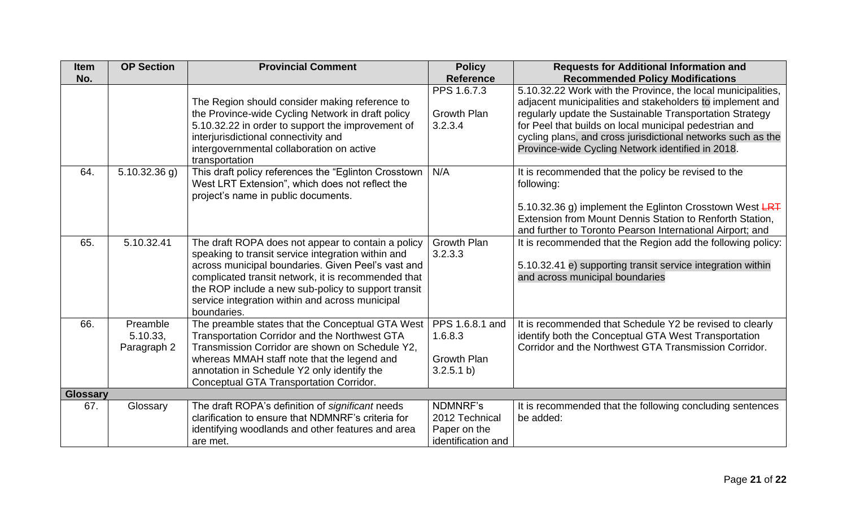| <b>Item</b>     | <b>OP Section</b>                   | <b>Provincial Comment</b>                                                                                                                                                                                                                                                                                                                      | <b>Policy</b>                                                    | <b>Requests for Additional Information and</b>                                                                                                                                                                                                                                                                                                                       |
|-----------------|-------------------------------------|------------------------------------------------------------------------------------------------------------------------------------------------------------------------------------------------------------------------------------------------------------------------------------------------------------------------------------------------|------------------------------------------------------------------|----------------------------------------------------------------------------------------------------------------------------------------------------------------------------------------------------------------------------------------------------------------------------------------------------------------------------------------------------------------------|
| No.             |                                     |                                                                                                                                                                                                                                                                                                                                                | <b>Reference</b>                                                 | <b>Recommended Policy Modifications</b>                                                                                                                                                                                                                                                                                                                              |
|                 |                                     | The Region should consider making reference to<br>the Province-wide Cycling Network in draft policy<br>5.10.32.22 in order to support the improvement of<br>interjurisdictional connectivity and<br>intergovernmental collaboration on active<br>transportation                                                                                | PPS 1.6.7.3<br><b>Growth Plan</b><br>3.2.3.4                     | 5.10.32.22 Work with the Province, the local municipalities,<br>adjacent municipalities and stakeholders to implement and<br>regularly update the Sustainable Transportation Strategy<br>for Peel that builds on local municipal pedestrian and<br>cycling plans, and cross jurisdictional networks such as the<br>Province-wide Cycling Network identified in 2018. |
| 64.             | $5.10.32.36$ g)                     | This draft policy references the "Eglinton Crosstown<br>West LRT Extension", which does not reflect the<br>project's name in public documents.                                                                                                                                                                                                 | N/A                                                              | It is recommended that the policy be revised to the<br>following:<br>5.10.32.36 g) implement the Eglinton Crosstown West LRT<br>Extension from Mount Dennis Station to Renforth Station,<br>and further to Toronto Pearson International Airport; and                                                                                                                |
| 65.             | 5.10.32.41                          | The draft ROPA does not appear to contain a policy<br>speaking to transit service integration within and<br>across municipal boundaries. Given Peel's vast and<br>complicated transit network, it is recommended that<br>the ROP include a new sub-policy to support transit<br>service integration within and across municipal<br>boundaries. | <b>Growth Plan</b><br>3.2.3.3                                    | It is recommended that the Region add the following policy:<br>5.10.32.41 e) supporting transit service integration within<br>and across municipal boundaries                                                                                                                                                                                                        |
| 66.             | Preamble<br>5.10.33,<br>Paragraph 2 | The preamble states that the Conceptual GTA West<br>Transportation Corridor and the Northwest GTA<br>Transmission Corridor are shown on Schedule Y2,<br>whereas MMAH staff note that the legend and<br>annotation in Schedule Y2 only identify the<br>Conceptual GTA Transportation Corridor.                                                  | PPS 1.6.8.1 and<br>1.6.8.3<br><b>Growth Plan</b><br>3.2.5.1 b)   | It is recommended that Schedule Y2 be revised to clearly<br>identify both the Conceptual GTA West Transportation<br>Corridor and the Northwest GTA Transmission Corridor.                                                                                                                                                                                            |
| <b>Glossary</b> |                                     |                                                                                                                                                                                                                                                                                                                                                |                                                                  |                                                                                                                                                                                                                                                                                                                                                                      |
| 67.             | Glossary                            | The draft ROPA's definition of significant needs<br>clarification to ensure that NDMNRF's criteria for<br>identifying woodlands and other features and area<br>are met.                                                                                                                                                                        | NDMNRF's<br>2012 Technical<br>Paper on the<br>identification and | It is recommended that the following concluding sentences<br>be added:                                                                                                                                                                                                                                                                                               |